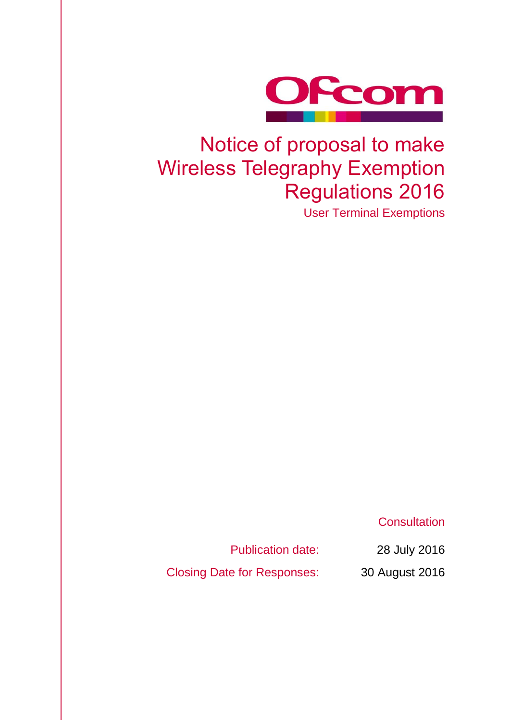

# Notice of proposal to make Wireless Telegraphy Exemption Regulations 2016

User Terminal Exemptions

**Consultation** 

Publication date: 28 July 2016

Closing Date for Responses: 30 August 2016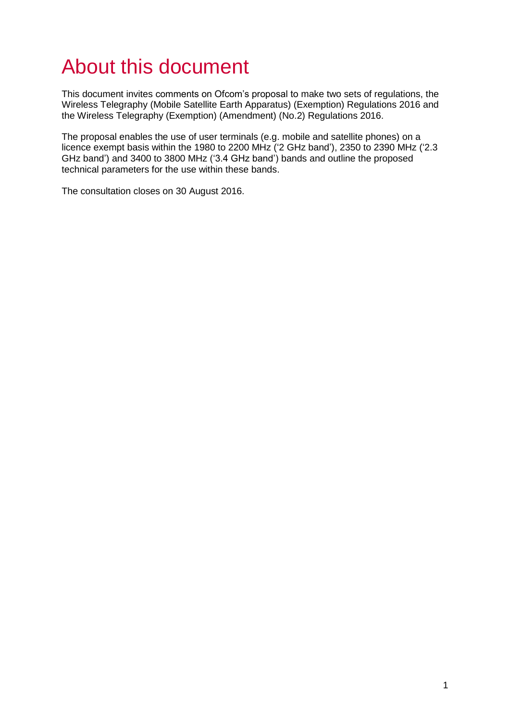# About this document

This document invites comments on Ofcom's proposal to make two sets of regulations, the Wireless Telegraphy (Mobile Satellite Earth Apparatus) (Exemption) Regulations 2016 and the Wireless Telegraphy (Exemption) (Amendment) (No.2) Regulations 2016.

The proposal enables the use of user terminals (e.g. mobile and satellite phones) on a licence exempt basis within the 1980 to 2200 MHz ('2 GHz band'), 2350 to 2390 MHz ('2.3 GHz band') and 3400 to 3800 MHz ('3.4 GHz band') bands and outline the proposed technical parameters for the use within these bands.

The consultation closes on 30 August 2016.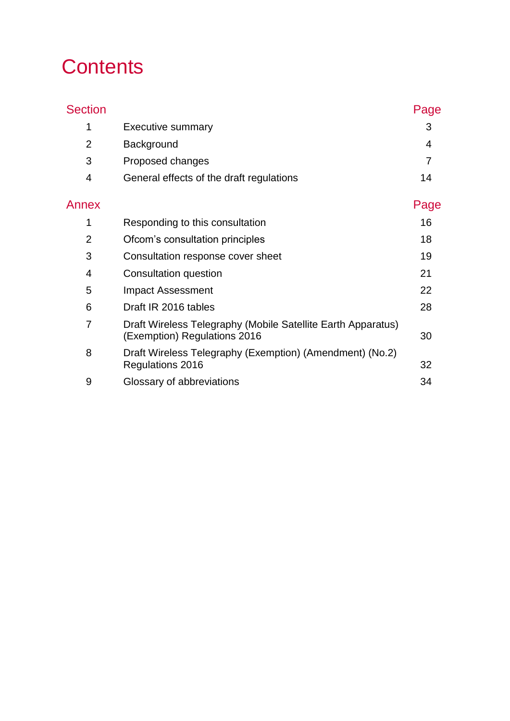# **Contents**

| <b>Section</b> |                                                                                              | Page           |
|----------------|----------------------------------------------------------------------------------------------|----------------|
| 1              | <b>Executive summary</b>                                                                     | 3              |
| $\overline{2}$ | Background                                                                                   | 4              |
| 3              | Proposed changes                                                                             | $\overline{7}$ |
| 4              | General effects of the draft regulations                                                     | 14             |
| Annex          |                                                                                              | Page           |
| 1              | Responding to this consultation                                                              | 16             |
| $\overline{2}$ | Ofcom's consultation principles                                                              | 18             |
| 3              | Consultation response cover sheet                                                            | 19             |
| $\overline{4}$ | Consultation question                                                                        | 21             |
| 5              | <b>Impact Assessment</b>                                                                     | 22             |
| 6              | Draft IR 2016 tables                                                                         | 28             |
| $\overline{7}$ | Draft Wireless Telegraphy (Mobile Satellite Earth Apparatus)<br>(Exemption) Regulations 2016 | 30             |
| 8              | Draft Wireless Telegraphy (Exemption) (Amendment) (No.2)<br>Regulations 2016                 | 32             |
| 9              | Glossary of abbreviations                                                                    | 34             |
|                |                                                                                              |                |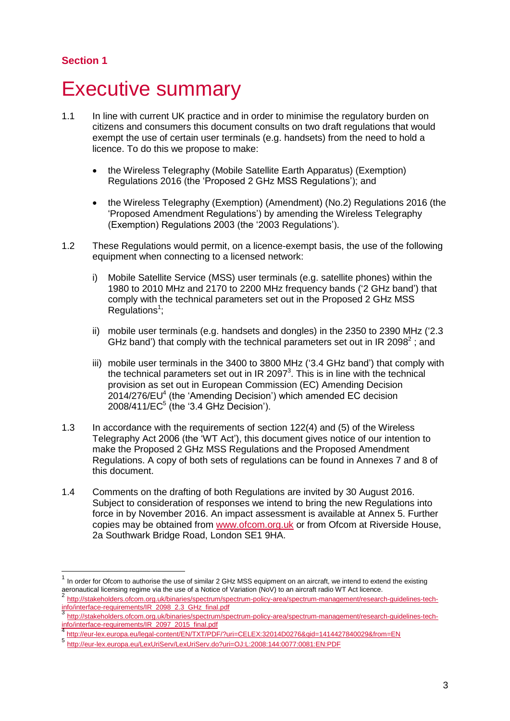### **Section 1**

 $\overline{a}$ 

# <span id="page-3-0"></span>**Executive summary**

- 1.1 In line with current UK practice and in order to minimise the regulatory burden on citizens and consumers this document consults on two draft regulations that would exempt the use of certain user terminals (e.g. handsets) from the need to hold a licence. To do this we propose to make:
	- the Wireless Telegraphy (Mobile Satellite Earth Apparatus) (Exemption) Regulations 2016 (the 'Proposed 2 GHz MSS Regulations'); and
	- the Wireless Telegraphy (Exemption) (Amendment) (No.2) Regulations 2016 (the 'Proposed Amendment Regulations') by amending the Wireless Telegraphy (Exemption) Regulations 2003 (the '2003 Regulations').
- 1.2 These Regulations would permit, on a licence-exempt basis, the use of the following equipment when connecting to a licensed network:
	- i) Mobile Satellite Service (MSS) user terminals (e.g. satellite phones) within the 1980 to 2010 MHz and 2170 to 2200 MHz frequency bands ('2 GHz band') that comply with the technical parameters set out in the Proposed 2 GHz MSS  $Regulations<sup>1</sup>$ ;
	- ii) mobile user terminals (e.g. handsets and dongles) in the 2350 to 2390 MHz ('2.3 GHz band') that comply with the technical parameters set out in IR 2098 $^2$ ; and
	- iii) mobile user terminals in the 3400 to 3800 MHz ('3.4 GHz band') that comply with the technical parameters set out in IR 2097 $3$ . This is in line with the technical provision as set out in European Commission (EC) Amending Decision  $2014/276$ /EU<sup>4</sup> (the 'Amending Decision') which amended EC decision 2008/411/EC<sup>5</sup> (the '3.4 GHz Decision').
- 1.3 In accordance with the requirements of section 122(4) and (5) of the Wireless Telegraphy Act 2006 (the 'WT Act'), this document gives notice of our intention to make the Proposed 2 GHz MSS Regulations and the Proposed Amendment Regulations. A copy of both sets of regulations can be found in Annexes 7 and 8 of this document.
- 1.4 Comments on the drafting of both Regulations are invited by 30 August 2016. Subject to consideration of responses we intend to bring the new Regulations into force in by November 2016. An impact assessment is available at Annex 5. Further copies may be obtained from [www.ofcom.org.uk](http://www.ofcom.org.uk/) or from Ofcom at Riverside House, 2a Southwark Bridge Road, London SE1 9HA.

<sup>1</sup> In order for Ofcom to authorise the use of similar 2 GHz MSS equipment on an aircraft, we intend to extend the existing aeronautical licensing regime via the use of a Notice of Variation (NoV) to an aircraft radio WT Act licence.

<sup>2</sup> [http://stakeholders.ofcom.org.uk/binaries/spectrum/spectrum-policy-area/spectrum-management/research-guidelines-tech](http://stakeholders.ofcom.org.uk/binaries/spectrum/spectrum-policy-area/spectrum-management/research-guidelines-tech-info/interface-requirements/IR_2098_2.3_GHz_final.pdf)[info/interface-requirements/IR\\_2098\\_2.3\\_GHz\\_final.pdf](http://stakeholders.ofcom.org.uk/binaries/spectrum/spectrum-policy-area/spectrum-management/research-guidelines-tech-info/interface-requirements/IR_2098_2.3_GHz_final.pdf) 3

[http://stakeholders.ofcom.org.uk/binaries/spectrum/spectrum-policy-area/spectrum-management/research-guidelines-tech](http://stakeholders.ofcom.org.uk/binaries/spectrum/spectrum-policy-area/spectrum-management/research-guidelines-tech-info/interface-requirements/IR_2097_2015_final.pdf)[info/interface-requirements/IR\\_2097\\_2015\\_final.pdf](http://stakeholders.ofcom.org.uk/binaries/spectrum/spectrum-policy-area/spectrum-management/research-guidelines-tech-info/interface-requirements/IR_2097_2015_final.pdf) 4

<http://eur-lex.europa.eu/legal-content/EN/TXT/PDF/?uri=CELEX:32014D0276&qid=1414427840029&from=EN>

<sup>5</sup> <http://eur-lex.europa.eu/LexUriServ/LexUriServ.do?uri=OJ:L:2008:144:0077:0081:EN:PDF>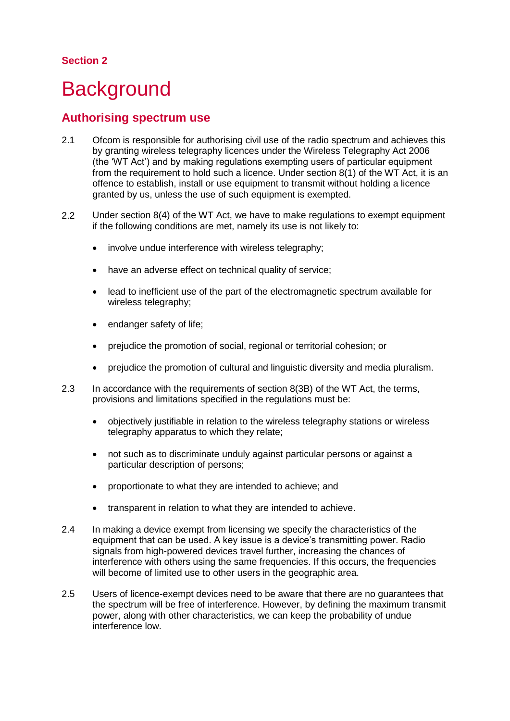#### **Section 2**

# <span id="page-4-0"></span>**Background**

### **Authorising spectrum use**

- 2.1 Ofcom is responsible for authorising civil use of the radio spectrum and achieves this by granting wireless telegraphy licences under the Wireless Telegraphy Act 2006 (the 'WT Act') and by making regulations exempting users of particular equipment from the requirement to hold such a licence. Under section 8(1) of the WT Act, it is an offence to establish, install or use equipment to transmit without holding a licence granted by us, unless the use of such equipment is exempted.
- 2.2 Under section 8(4) of the WT Act, we have to make regulations to exempt equipment if the following conditions are met, namely its use is not likely to:
	- involve undue interference with wireless telegraphy;
	- have an adverse effect on technical quality of service:
	- lead to inefficient use of the part of the electromagnetic spectrum available for wireless telegraphy;
	- endanger safety of life;
	- prejudice the promotion of social, regional or territorial cohesion; or
	- prejudice the promotion of cultural and linguistic diversity and media pluralism.
- 2.3 In accordance with the requirements of section 8(3B) of the WT Act, the terms, provisions and limitations specified in the regulations must be:
	- objectively justifiable in relation to the wireless telegraphy stations or wireless telegraphy apparatus to which they relate;
	- not such as to discriminate unduly against particular persons or against a particular description of persons;
	- proportionate to what they are intended to achieve; and
	- transparent in relation to what they are intended to achieve.
- 2.4 In making a device exempt from licensing we specify the characteristics of the equipment that can be used. A key issue is a device's transmitting power. Radio signals from high-powered devices travel further, increasing the chances of interference with others using the same frequencies. If this occurs, the frequencies will become of limited use to other users in the geographic area.
- 2.5 Users of licence-exempt devices need to be aware that there are no guarantees that the spectrum will be free of interference. However, by defining the maximum transmit power, along with other characteristics, we can keep the probability of undue interference low.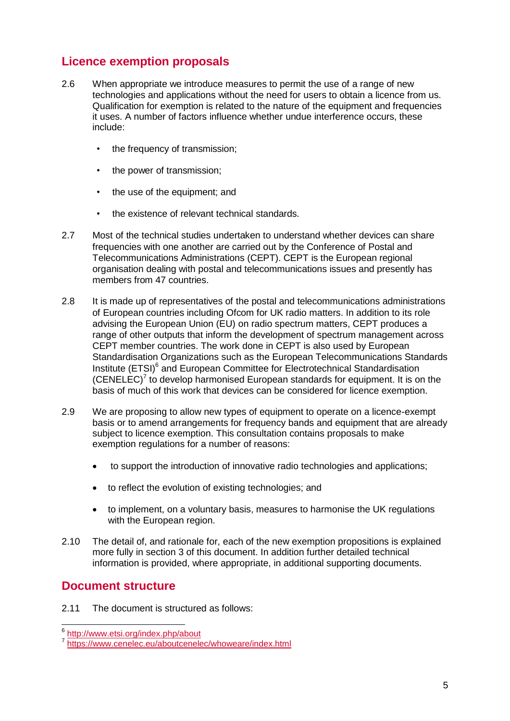## **Licence exemption proposals**

- 2.6 When appropriate we introduce measures to permit the use of a range of new technologies and applications without the need for users to obtain a licence from us. Qualification for exemption is related to the nature of the equipment and frequencies it uses. A number of factors influence whether undue interference occurs, these include:
	- the frequency of transmission;
	- the power of transmission;
	- the use of the equipment: and
	- the existence of relevant technical standards.
- 2.7 Most of the technical studies undertaken to understand whether devices can share frequencies with one another are carried out by the Conference of Postal and Telecommunications Administrations (CEPT). CEPT is the European regional organisation dealing with postal and telecommunications issues and presently has members from 47 countries.
- 2.8 It is made up of representatives of the postal and telecommunications administrations of European countries including Ofcom for UK radio matters. In addition to its role advising the European Union (EU) on radio spectrum matters, CEPT produces a range of other outputs that inform the development of spectrum management across CEPT member countries. The work done in CEPT is also used by European Standardisation Organizations such as the European Telecommunications Standards Institute (ETSI)<sup>6</sup> and European Committee for Electrotechnical Standardisation  $(CENELEC)<sup>7</sup>$  to develop harmonised European standards for equipment. It is on the basis of much of this work that devices can be considered for licence exemption.
- 2.9 We are proposing to allow new types of equipment to operate on a licence-exempt basis or to amend arrangements for frequency bands and equipment that are already subject to licence exemption. This consultation contains proposals to make exemption regulations for a number of reasons:
	- to support the introduction of innovative radio technologies and applications;
	- to reflect the evolution of existing technologies; and
	- to implement, on a voluntary basis, measures to harmonise the UK regulations with the European region.
- 2.10 The detail of, and rationale for, each of the new exemption propositions is explained more fully in section 3 of this document. In addition further detailed technical information is provided, where appropriate, in additional supporting documents.

## **Document structure**

2.11 The document is structured as follows:

<sup>–&</sup>lt;br><sup>6</sup> <http://www.etsi.org/index.php/about>

<sup>7</sup> <https://www.cenelec.eu/aboutcenelec/whoweare/index.html>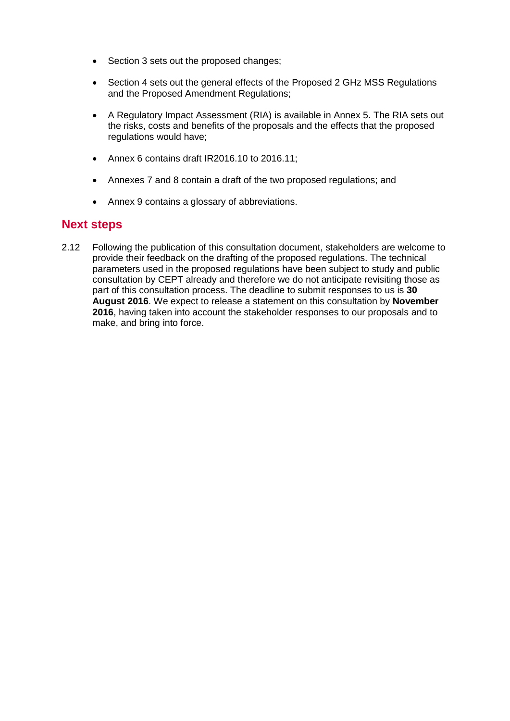- Section 3 sets out the proposed changes;
- Section 4 sets out the general effects of the Proposed 2 GHz MSS Regulations and the Proposed Amendment Regulations;
- A Regulatory Impact Assessment (RIA) is available in Annex 5. The RIA sets out the risks, costs and benefits of the proposals and the effects that the proposed regulations would have;
- Annex 6 contains draft IR2016.10 to 2016.11;
- Annexes 7 and 8 contain a draft of the two proposed regulations; and
- Annex 9 contains a glossary of abbreviations.

#### **Next steps**

2.12 Following the publication of this consultation document, stakeholders are welcome to provide their feedback on the drafting of the proposed regulations. The technical parameters used in the proposed regulations have been subject to study and public consultation by CEPT already and therefore we do not anticipate revisiting those as part of this consultation process. The deadline to submit responses to us is **30 August 2016**. We expect to release a statement on this consultation by **November 2016**, having taken into account the stakeholder responses to our proposals and to make, and bring into force.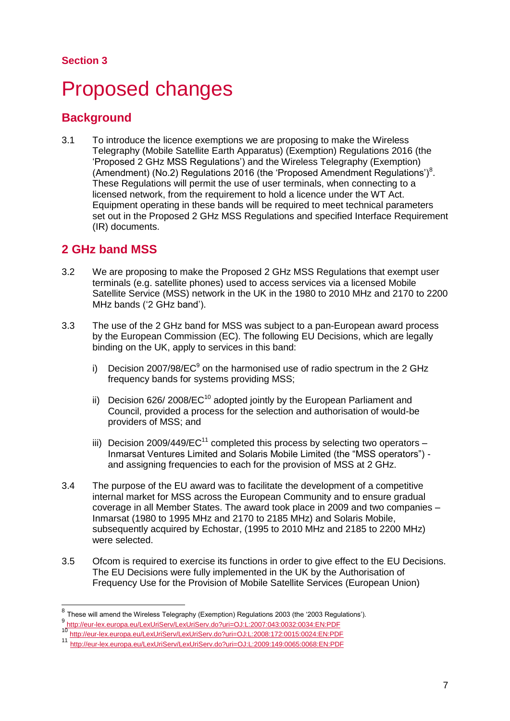### **Section 3**

# <span id="page-7-0"></span>Proposed changes

# **Background**

3.1 To introduce the licence exemptions we are proposing to make the Wireless Telegraphy (Mobile Satellite Earth Apparatus) (Exemption) Regulations 2016 (the 'Proposed 2 GHz MSS Regulations') and the Wireless Telegraphy (Exemption) (Amendment) (No.2) Regulations 2016 (the 'Proposed Amendment Regulations')<sup>8</sup>. These Regulations will permit the use of user terminals, when connecting to a licensed network, from the requirement to hold a licence under the WT Act. Equipment operating in these bands will be required to meet technical parameters set out in the Proposed 2 GHz MSS Regulations and specified Interface Requirement (IR) documents.

## **2 GHz band MSS**

- 3.2 We are proposing to make the Proposed 2 GHz MSS Regulations that exempt user terminals (e.g. satellite phones) used to access services via a licensed Mobile Satellite Service (MSS) network in the UK in the 1980 to 2010 MHz and 2170 to 2200 MHz bands ('2 GHz band').
- 3.3 The use of the 2 GHz band for MSS was subject to a pan-European award process by the European Commission (EC). The following EU Decisions, which are legally binding on the UK, apply to services in this band:
	- i) Decision 2007/98/EC $^9$  on the harmonised use of radio spectrum in the 2 GHz frequency bands for systems providing MSS;
	- ii) Decision 626/ 2008/ $EC^{10}$  adopted jointly by the European Parliament and Council, provided a process for the selection and authorisation of would-be providers of MSS; and
	- iii) Decision 2009/449/EC<sup>11</sup> completed this process by selecting two operators Inmarsat Ventures Limited and Solaris Mobile Limited (the "MSS operators") and assigning frequencies to each for the provision of MSS at 2 GHz.
- 3.4 The purpose of the EU award was to facilitate the development of a competitive internal market for MSS across the European Community and to ensure gradual coverage in all Member States. The award took place in 2009 and two companies – Inmarsat (1980 to 1995 MHz and 2170 to 2185 MHz) and Solaris Mobile, subsequently acquired by Echostar, (1995 to 2010 MHz and 2185 to 2200 MHz) were selected.
- 3.5 Ofcom is required to exercise its functions in order to give effect to the EU Decisions. The EU Decisions were fully implemented in the UK by the Authorisation of Frequency Use for the Provision of Mobile Satellite Services (European Union)

<sup>—————————————————————&</sup>lt;br><sup>8</sup> These will amend the Wireless Telegraphy (Exemption) Regulations 2003 (the '2003 Regulations'). 9 <http://eur-lex.europa.eu/LexUriServ/LexUriServ.do?uri=OJ:L:2007:043:0032:0034:EN:PDF>

<sup>10</sup> <http://eur-lex.europa.eu/LexUriServ/LexUriServ.do?uri=OJ:L:2008:172:0015:0024:EN:PDF>

<sup>11</sup> [http://eur-lex.europa.eu/LexUriServ/LexUriServ.do?uri=OJ:L:2009:149:0065:0068:EN:PDF](http://eur-lex.europa.eu/LexUriServ/LexUriServ.do?uri=OJ:L:2009:149:0065:0068:EN:PDF%20%20)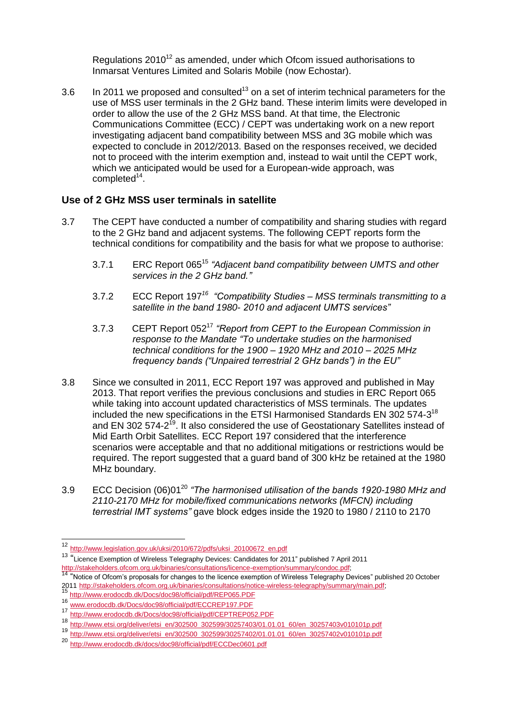Regulations  $2010^{12}$  as amended, under which Ofcom issued authorisations to Inmarsat Ventures Limited and Solaris Mobile (now Echostar).

3.6 In 2011 we proposed and consulted<sup>13</sup> on a set of interim technical parameters for the use of MSS user terminals in the 2 GHz band. These interim limits were developed in order to allow the use of the 2 GHz MSS band. At that time, the Electronic Communications Committee (ECC) / CEPT was undertaking work on a new report investigating adjacent band compatibility between MSS and 3G mobile which was expected to conclude in 2012/2013. Based on the responses received, we decided not to proceed with the interim exemption and, instead to wait until the CEPT work, which we anticipated would be used for a European-wide approach, was completed<sup>14</sup>.

#### **Use of 2 GHz MSS user terminals in satellite**

- 3.7 The CEPT have conducted a number of compatibility and sharing studies with regard to the 2 GHz band and adjacent systems. The following CEPT reports form the technical conditions for compatibility and the basis for what we propose to authorise:
	- 3.7.1 ERC Report 065<sup>15</sup> "Adjacent band compatibility between UMTS and other *services in the 2 GHz band."*
	- 3.7.2 ECC Report 197*<sup>16</sup> "Compatibility Studies – MSS terminals transmitting to a satellite in the band 1980- 2010 and adjacent UMTS services"*
	- 3.7.3 CEPT Report 052<sup>17</sup> *"Report from CEPT to the European Commission in response to the Mandate "To undertake studies on the harmonised technical conditions for the 1900 – 1920 MHz and 2010 – 2025 MHz frequency bands ("Unpaired terrestrial 2 GHz bands") in the EU"*
- 3.8 Since we consulted in 2011, ECC Report 197 was approved and published in May 2013. That report verifies the previous conclusions and studies in ERC Report 065 while taking into account updated characteristics of MSS terminals. The updates included the new specifications in the ETSI Harmonised Standards EN 302 574-3<sup>18</sup> and EN 302 574-2<sup>19</sup>. It also considered the use of Geostationary Satellites instead of Mid Earth Orbit Satellites. ECC Report 197 considered that the interference scenarios were acceptable and that no additional mitigations or restrictions would be required. The report suggested that a guard band of 300 kHz be retained at the 1980 MHz boundary.
- ECC Decision (06)01<sup>20</sup> 3.9 *"The harmonised utilisation of the bands 1920-1980 MHz and 2110-2170 MHz for mobile/fixed communications networks (MFCN) including terrestrial IMT systems"* gave block edges inside the 1920 to 1980 / 2110 to 2170

<sup>13</sup> "Licence Exemption of Wireless Telegraphy Devices: Candidates for 2011" published 7 April 2011

 $\overline{1}$ 

<sup>12</sup> [http://www.legislation.gov.uk/uksi/2010/672/pdfs/uksi\\_20100672\\_en.pdf](http://www.legislation.gov.uk/uksi/2010/672/pdfs/uksi_20100672_en.pdf)

<sup>&</sup>lt;u>[http://stakeholders.ofcom.org.uk/binaries/consultations/licence-exemption/summary/condoc.pdf;](http://stakeholders.ofcom.org.uk/binaries/consultations/licence-exemption/summary/condoc.pdf)</u><br><sup>14</sup> "Notice of Ofcom's proposals for changes to the licence exemption of Wireless Telegraphy Devices" published 20 October 2011 [http://stakeholders.ofcom.org.uk/binaries/consultations/notice-wireless-telegraphy/summary/main.pdf;](http://stakeholders.ofcom.org.uk/binaries/consultations/notice-wireless-telegraphy/summary/main.pdf)

<sup>15</sup> <http://www.erodocdb.dk/Docs/doc98/official/pdf/REP065.PDF>

<sup>16&</sup>lt;br>[www.erodocdb.dk/Docs/doc98/official/pdf/ECCREP197.PDF](http://www.erodocdb.dk/Docs/doc98/official/pdf/ECCREP197.PDF)<br>17

<sup>17&</sup>lt;br>http://www.erodocdb.dk/Docs/doc98/official/pdf/CEPTREP052.PDF<br>18

<sup>18</sup> [http://www.etsi.org/deliver/etsi\\_en/302500\\_302599/30257403/01.01.01\\_60/en\\_30257403v010101p.pdf](http://www.etsi.org/deliver/etsi_en/302500_302599/30257403/01.01.01_60/en_30257403v010101p.pdf)<br>19

<sup>19</sup> [http://www.etsi.org/deliver/etsi\\_en/302500\\_302599/30257402/01.01.01\\_60/en\\_30257402v010101p.pdf](http://www.etsi.org/deliver/etsi_en/302500_302599/30257402/01.01.01_60/en_30257402v010101p.pdf)

<sup>20</sup> <http://www.erodocdb.dk/docs/doc98/official/pdf/ECCDec0601.pdf>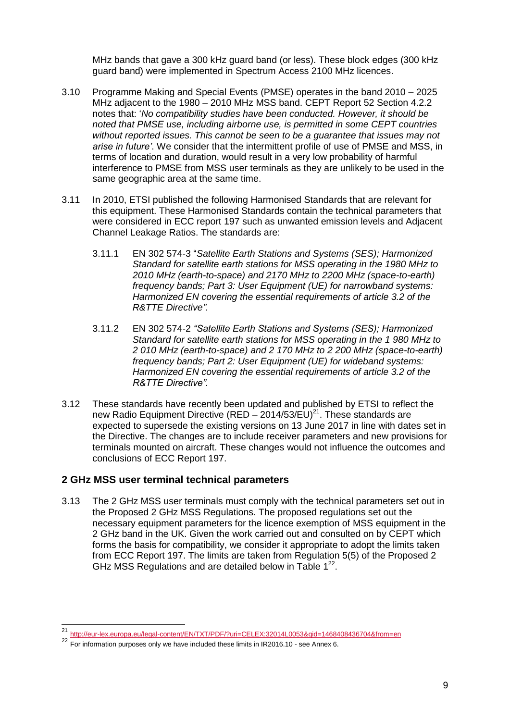MHz bands that gave a 300 kHz guard band (or less). These block edges (300 kHz guard band) were implemented in Spectrum Access 2100 MHz licences.

- 3.10 Programme Making and Special Events (PMSE) operates in the band 2010 2025 MHz adjacent to the 1980 – 2010 MHz MSS band. CEPT Report 52 Section 4.2.2 notes that: '*No compatibility studies have been conducted. However, it should be noted that PMSE use, including airborne use, is permitted in some CEPT countries without reported issues. This cannot be seen to be a guarantee that issues may not arise in future'*. We consider that the intermittent profile of use of PMSE and MSS, in terms of location and duration, would result in a very low probability of harmful interference to PMSE from MSS user terminals as they are unlikely to be used in the same geographic area at the same time.
- 3.11 In 2010, ETSI published the following Harmonised Standards that are relevant for this equipment. These Harmonised Standards contain the technical parameters that were considered in ECC report 197 such as unwanted emission levels and Adjacent Channel Leakage Ratios. The standards are:
	- 3.11.1 EN 302 574-3 "*Satellite Earth Stations and Systems (SES); Harmonized Standard for satellite earth stations for MSS operating in the 1980 MHz to 2010 MHz (earth-to-space) and 2170 MHz to 2200 MHz (space-to-earth) frequency bands; Part 3: User Equipment (UE) for narrowband systems: Harmonized EN covering the essential requirements of article 3.2 of the R&TTE Directive".*
	- 3.11.2 EN 302 574-2 *"Satellite Earth Stations and Systems (SES); Harmonized Standard for satellite earth stations for MSS operating in the 1 980 MHz to 2 010 MHz (earth-to-space) and 2 170 MHz to 2 200 MHz (space-to-earth) frequency bands; Part 2: User Equipment (UE) for wideband systems: Harmonized EN covering the essential requirements of article 3.2 of the R&TTE Directive".*
- 3.12 These standards have recently been updated and published by ETSI to reflect the new Radio Equipment Directive (RED – 2014/53/EU)<sup>21</sup>. These standards are expected to supersede the existing versions on 13 June 2017 in line with dates set in the Directive. The changes are to include receiver parameters and new provisions for terminals mounted on aircraft. These changes would not influence the outcomes and conclusions of ECC Report 197.

#### **2 GHz MSS user terminal technical parameters**

3.13 The 2 GHz MSS user terminals must comply with the technical parameters set out in the Proposed 2 GHz MSS Regulations. The proposed regulations set out the necessary equipment parameters for the licence exemption of MSS equipment in the 2 GHz band in the UK. Given the work carried out and consulted on by CEPT which forms the basis for compatibility, we consider it appropriate to adopt the limits taken from ECC Report 197. The limits are taken from Regulation 5(5) of the Proposed 2 GHz MSS Regulations and are detailed below in Table  $1^{22}$ .

 $21$ <sup>21</sup> <http://eur-lex.europa.eu/legal-content/EN/TXT/PDF/?uri=CELEX:32014L0053&qid=1468408436704&from=en>

<sup>&</sup>lt;sup>22</sup> For information purposes only we have included these limits in IR2016.10 - see Annex 6.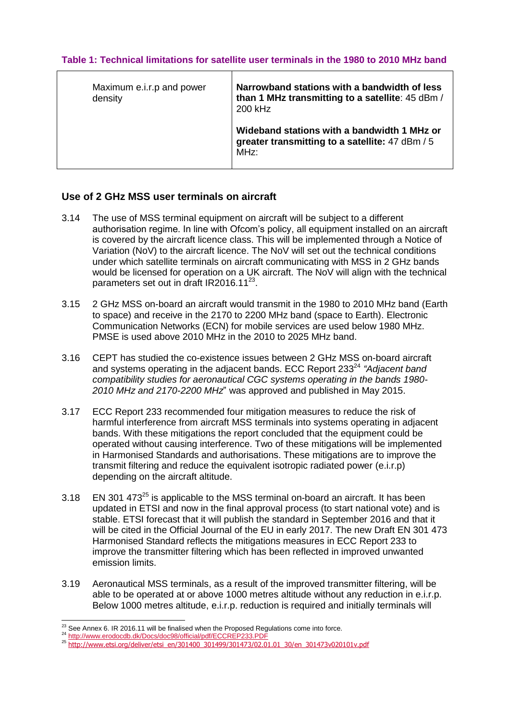| Maximum e.i.r.p and power<br>density | Narrowband stations with a bandwidth of less<br>than 1 MHz transmitting to a satellite: 45 dBm /<br>200 kHz |
|--------------------------------------|-------------------------------------------------------------------------------------------------------------|
|                                      | Wideband stations with a bandwidth 1 MHz or<br>greater transmitting to a satellite: 47 dBm / 5<br>MHz:      |

#### **Table 1: Technical limitations for satellite user terminals in the 1980 to 2010 MHz band**

#### **Use of 2 GHz MSS user terminals on aircraft**

- 3.14 The use of MSS terminal equipment on aircraft will be subject to a different authorisation regime. In line with Ofcom's policy, all equipment installed on an aircraft is covered by the aircraft licence class. This will be implemented through a Notice of Variation (NoV) to the aircraft licence. The NoV will set out the technical conditions under which satellite terminals on aircraft communicating with MSS in 2 GHz bands would be licensed for operation on a UK aircraft. The NoV will align with the technical parameters set out in draft IR2016.11<sup>23</sup>.
- 3.15 2 GHz MSS on-board an aircraft would transmit in the 1980 to 2010 MHz band (Earth to space) and receive in the 2170 to 2200 MHz band (space to Earth). Electronic Communication Networks (ECN) for mobile services are used below 1980 MHz. PMSE is used above 2010 MHz in the 2010 to 2025 MHz band.
- 3.16 CEPT has studied the co-existence issues between 2 GHz MSS on-board aircraft and systems operating in the adjacent bands. ECC Report 233<sup>24</sup> "Adjacent band *compatibility studies for aeronautical CGC systems operating in the bands 1980- 2010 MHz and 2170-2200 MHz*" was approved and published in May 2015.
- 3.17 ECC Report 233 recommended four mitigation measures to reduce the risk of harmful interference from aircraft MSS terminals into systems operating in adjacent bands. With these mitigations the report concluded that the equipment could be operated without causing interference. Two of these mitigations will be implemented in Harmonised Standards and authorisations. These mitigations are to improve the transmit filtering and reduce the equivalent isotropic radiated power (e.i.r.p) depending on the aircraft altitude.
- 3.18 EN 301 473 $^{25}$  is applicable to the MSS terminal on-board an aircraft. It has been updated in ETSI and now in the final approval process (to start national vote) and is stable. ETSI forecast that it will publish the standard in September 2016 and that it will be cited in the Official Journal of the EU in early 2017. The new Draft EN 301 473 Harmonised Standard reflects the mitigations measures in ECC Report 233 to improve the transmitter filtering which has been reflected in improved unwanted emission limits.
- 3.19 Aeronautical MSS terminals, as a result of the improved transmitter filtering, will be able to be operated at or above 1000 metres altitude without any reduction in e.i.r.p. Below 1000 metres altitude, e.i.r.p. reduction is required and initially terminals will

<sup>-</sup> $^{23}$  See Annex 6. IR 2016.11 will be finalised when the Proposed Regulations come into force.

<sup>&</sup>lt;sup>24</sup> http://www.erodocdb.dk/Docs/doc98/official/pdf/ECCREP233.PDF

<sup>25</sup> [http://www.etsi.org/deliver/etsi\\_en/301400\\_301499/301473/02.01.01\\_30/en\\_301473v020101v.pdf](http://www.etsi.org/deliver/etsi_en/301400_301499/301473/02.01.01_30/en_301473v020101v.pdf)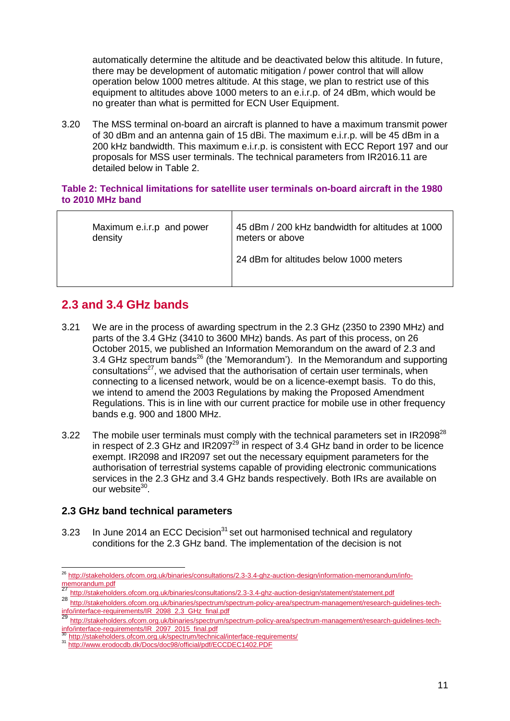automatically determine the altitude and be deactivated below this altitude. In future, there may be development of automatic mitigation / power control that will allow operation below 1000 metres altitude. At this stage, we plan to restrict use of this equipment to altitudes above 1000 meters to an e.i.r.p. of 24 dBm, which would be no greater than what is permitted for ECN User Equipment.

3.20 The MSS terminal on-board an aircraft is planned to have a maximum transmit power of 30 dBm and an antenna gain of 15 dBi. The maximum e.i.r.p. will be 45 dBm in a 200 kHz bandwidth. This maximum e.i.r.p. is consistent with ECC Report 197 and our proposals for MSS user terminals. The technical parameters from IR2016.11 are detailed below in Table 2.

#### **Table 2: Technical limitations for satellite user terminals on-board aircraft in the 1980 to 2010 MHz band**

| Maximum e.i.r.p and power | 45 dBm / 200 kHz bandwidth for altitudes at 1000 |
|---------------------------|--------------------------------------------------|
| density                   | meters or above                                  |
|                           | 24 dBm for altitudes below 1000 meters           |

# **2.3 and 3.4 GHz bands**

- 3.21 We are in the process of awarding spectrum in the 2.3 GHz (2350 to 2390 MHz) and parts of the 3.4 GHz (3410 to 3600 MHz) bands. As part of this process, on 26 October 2015, we published an Information Memorandum on the award of 2.3 and 3.4 GHz spectrum bands<sup>26</sup> (the 'Memorandum'). In the Memorandum and supporting consultations<sup>27</sup>, we advised that the authorisation of certain user terminals, when connecting to a licensed network, would be on a licence-exempt basis. To do this, we intend to amend the 2003 Regulations by making the Proposed Amendment Regulations. This is in line with our current practice for mobile use in other frequency bands e.g. 900 and 1800 MHz.
- 3.22 The mobile user terminals must comply with the technical parameters set in IR2098 $^{28}$ in respect of 2.3 GHz and IR2097 $^{29}$  in respect of 3.4 GHz band in order to be licence exempt. IR2098 and IR2097 set out the necessary equipment parameters for the authorisation of terrestrial systems capable of providing electronic communications services in the 2.3 GHz and 3.4 GHz bands respectively. Both IRs are available on our website<sup>30</sup>.

#### **2.3 GHz band technical parameters**

3.23 In June 2014 an ECC Decision<sup>31</sup> set out harmonised technical and regulatory conditions for the 2.3 GHz band. The implementation of the decision is not

<sup>26</sup> [http://stakeholders.ofcom.org.uk/binaries/consultations/2.3-3.4-ghz-auction-design/information-memorandum/info](http://stakeholders.ofcom.org.uk/binaries/consultations/2.3-3.4-ghz-auction-design/information-memorandum/info-memorandum.pdf)[memorandum.pdf](http://stakeholders.ofcom.org.uk/binaries/consultations/2.3-3.4-ghz-auction-design/information-memorandum/info-memorandum.pdf)

<sup>27</sup> <http://stakeholders.ofcom.org.uk/binaries/consultations/2.3-3.4-ghz-auction-design/statement/statement.pdf>

<sup>28</sup> [http://stakeholders.ofcom.org.uk/binaries/spectrum/spectrum-policy-area/spectrum-management/research-guidelines-tech](http://stakeholders.ofcom.org.uk/binaries/spectrum/spectrum-policy-area/spectrum-management/research-guidelines-tech-info/interface-requirements/IR_2098_2.3_GHz_final.pdf)[info/interface-requirements/IR\\_2098\\_2.3\\_GHz\\_final.pdf](http://stakeholders.ofcom.org.uk/binaries/spectrum/spectrum-policy-area/spectrum-management/research-guidelines-tech-info/interface-requirements/IR_2098_2.3_GHz_final.pdf)<br>29

<sup>29</sup> [http://stakeholders.ofcom.org.uk/binaries/spectrum/spectrum-policy-area/spectrum-management/research-guidelines-tech](http://stakeholders.ofcom.org.uk/binaries/spectrum/spectrum-policy-area/spectrum-management/research-guidelines-tech-info/interface-requirements/IR_2097_2015_final.pdf)[info/interface-requirements/IR\\_2097\\_2015\\_final.pdf](http://stakeholders.ofcom.org.uk/binaries/spectrum/spectrum-policy-area/spectrum-management/research-guidelines-tech-info/interface-requirements/IR_2097_2015_final.pdf)<br>30\_http://etckobelders\_st\_sus

<http://stakeholders.ofcom.org.uk/spectrum/technical/interface-requirements/>

<sup>31</sup> <http://www.erodocdb.dk/Docs/doc98/official/pdf/ECCDEC1402.PDF>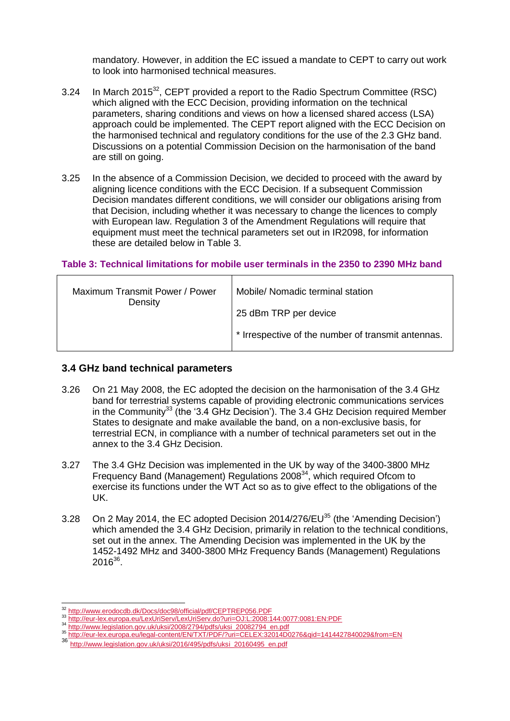mandatory. However, in addition the EC issued a mandate to CEPT to carry out work to look into harmonised technical measures.

- 3.24 In March 2015<sup>32</sup>, CEPT provided a report to the Radio Spectrum Committee (RSC) which aligned with the ECC Decision, providing information on the technical parameters, sharing conditions and views on how a licensed shared access (LSA) approach could be implemented. The CEPT report aligned with the ECC Decision on the harmonised technical and regulatory conditions for the use of the 2.3 GHz band. Discussions on a potential Commission Decision on the harmonisation of the band are still on going.
- 3.25 In the absence of a Commission Decision, we decided to proceed with the award by aligning licence conditions with the ECC Decision. If a subsequent Commission Decision mandates different conditions, we will consider our obligations arising from that Decision, including whether it was necessary to change the licences to comply with European law. Regulation 3 of the Amendment Regulations will require that equipment must meet the technical parameters set out in IR2098, for information these are detailed below in Table 3.

#### **Table 3: Technical limitations for mobile user terminals in the 2350 to 2390 MHz band**

| Maximum Transmit Power / Power<br>Density | Mobile/ Nomadic terminal station                   |
|-------------------------------------------|----------------------------------------------------|
|                                           | 25 dBm TRP per device                              |
|                                           | * Irrespective of the number of transmit antennas. |

#### **3.4 GHz band technical parameters**

- 3.26 On 21 May 2008, the EC adopted the decision on the harmonisation of the 3.4 GHz band for terrestrial systems capable of providing electronic communications services in the Community<sup>33</sup> (the '3.4 GHz Decision'). The 3.4 GHz Decision required Member States to designate and make available the band, on a non-exclusive basis, for terrestrial ECN, in compliance with a number of technical parameters set out in the annex to the 3.4 GHz Decision.
- 3.27 The 3.4 GHz Decision was implemented in the UK by way of the 3400-3800 MHz Frequency Band (Management) Regulations 2008<sup>34</sup>, which required Ofcom to exercise its functions under the WT Act so as to give effect to the obligations of the UK.
- 3.28 On 2 May 2014, the EC adopted Decision 2014/276/EU $^{35}$  (the 'Amending Decision') which amended the 3.4 GHz Decision, primarily in relation to the technical conditions, set out in the annex. The Amending Decision was implemented in the UK by the 1452-1492 MHz and 3400-3800 MHz Frequency Bands (Management) Regulations  $2016^{36}$ .

-

<sup>32</sup> <http://www.erodocdb.dk/Docs/doc98/official/pdf/CEPTREP056.PDF>

<sup>33</sup> <http://eur-lex.europa.eu/LexUriServ/LexUriServ.do?uri=OJ:L:2008:144:0077:0081:EN:PDF>

<sup>34</sup> [http://www.legislation.gov.uk/uksi/2008/2794/pdfs/uksi\\_20082794\\_en.pdf](http://www.legislation.gov.uk/uksi/2008/2794/pdfs/uksi_20082794_en.pdf) <sup>35</sup> <http://eur-lex.europa.eu/legal-content/EN/TXT/PDF/?uri=CELEX:32014D0276&qid=1414427840029&from=EN>

<sup>36</sup> [http://www.legislation.gov.uk/uksi/2016/495/pdfs/uksi\\_20160495\\_en.pdf](http://www.legislation.gov.uk/uksi/2016/495/pdfs/uksi_20160495_en.pdf)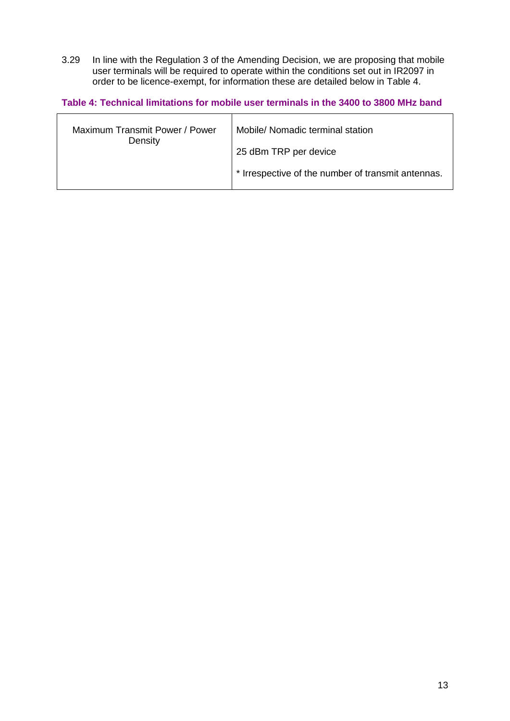3.29 In line with the Regulation 3 of the Amending Decision, we are proposing that mobile user terminals will be required to operate within the conditions set out in IR2097 in order to be licence-exempt, for information these are detailed below in Table 4.

**Table 4: Technical limitations for mobile user terminals in the 3400 to 3800 MHz band**

| Maximum Transmit Power / Power<br>Density | Mobile/ Nomadic terminal station                   |
|-------------------------------------------|----------------------------------------------------|
|                                           | 25 dBm TRP per device                              |
|                                           | * Irrespective of the number of transmit antennas. |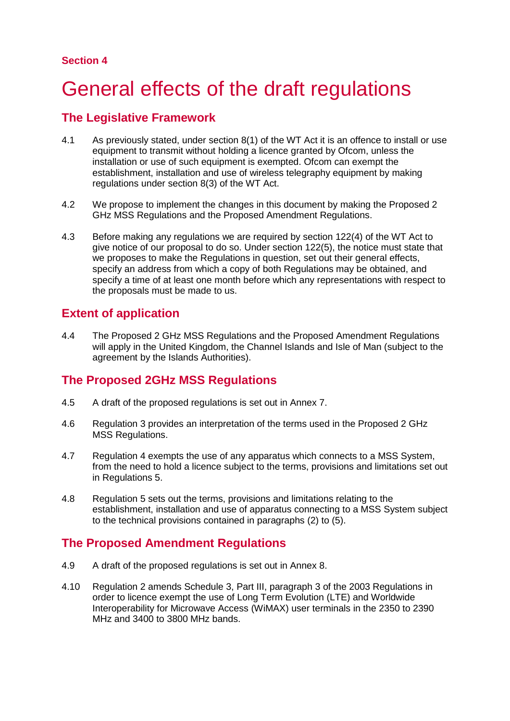### **Section 4**

# <span id="page-14-0"></span>General effects of the draft regulations

## **The Legislative Framework**

- 4.1 As previously stated, under section 8(1) of the WT Act it is an offence to install or use equipment to transmit without holding a licence granted by Ofcom, unless the installation or use of such equipment is exempted. Ofcom can exempt the establishment, installation and use of wireless telegraphy equipment by making regulations under section 8(3) of the WT Act.
- 4.2 We propose to implement the changes in this document by making the Proposed 2 GHz MSS Regulations and the Proposed Amendment Regulations.
- 4.3 Before making any regulations we are required by section 122(4) of the WT Act to give notice of our proposal to do so. Under section 122(5), the notice must state that we proposes to make the Regulations in question, set out their general effects, specify an address from which a copy of both Regulations may be obtained, and specify a time of at least one month before which any representations with respect to the proposals must be made to us.

# **Extent of application**

4.4 The Proposed 2 GHz MSS Regulations and the Proposed Amendment Regulations will apply in the United Kingdom, the Channel Islands and Isle of Man (subject to the agreement by the Islands Authorities).

## **The Proposed 2GHz MSS Regulations**

- 4.5 A draft of the proposed regulations is set out in Annex 7.
- 4.6 Regulation 3 provides an interpretation of the terms used in the Proposed 2 GHz MSS Regulations.
- 4.7 Regulation 4 exempts the use of any apparatus which connects to a MSS System, from the need to hold a licence subject to the terms, provisions and limitations set out in Regulations 5.
- 4.8 Regulation 5 sets out the terms, provisions and limitations relating to the establishment, installation and use of apparatus connecting to a MSS System subject to the technical provisions contained in paragraphs (2) to (5).

## **The Proposed Amendment Regulations**

- 4.9 A draft of the proposed regulations is set out in Annex 8.
- 4.10 Regulation 2 amends Schedule 3, Part III, paragraph 3 of the 2003 Regulations in order to licence exempt the use of Long Term Evolution (LTE) and Worldwide Interoperability for Microwave Access (WiMAX) user terminals in the 2350 to 2390 MHz and 3400 to 3800 MHz bands.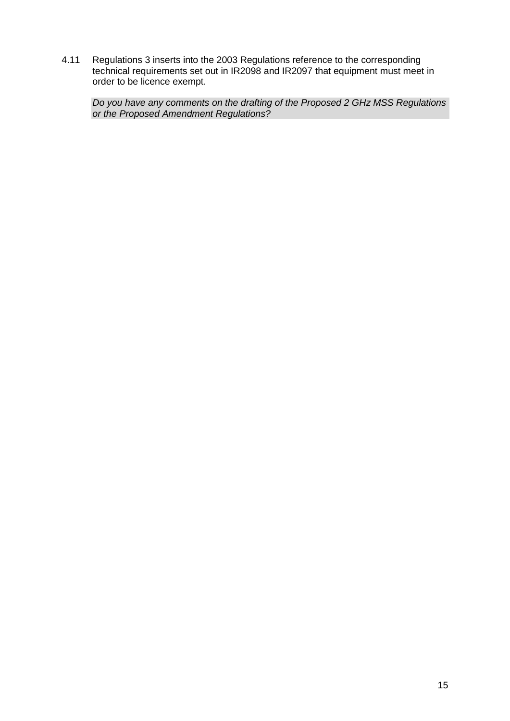4.11 Regulations 3 inserts into the 2003 Regulations reference to the corresponding technical requirements set out in IR2098 and IR2097 that equipment must meet in order to be licence exempt.

*Do you have any comments on the drafting of the Proposed 2 GHz MSS Regulations or the Proposed Amendment Regulations?*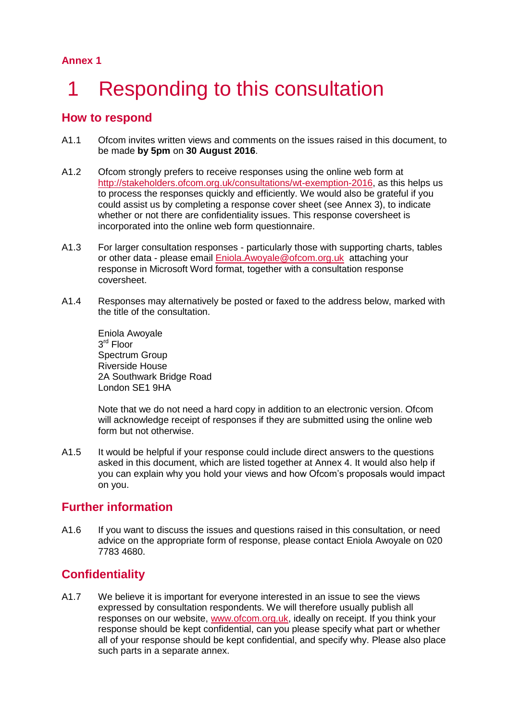# <span id="page-16-0"></span>1 Responding to this consultation

### **How to respond**

- A1.1 Ofcom invites written views and comments on the issues raised in this document, to be made **by 5pm** on **30 August 2016**.
- A1.2 Ofcom strongly prefers to receive responses using the online web form at [http://stakeholders.ofcom.org.uk/consultations/wt-exemption-2016,](http://stakeholders.ofcom.org.uk/consultations/wt-exemption-2016) as this helps us to process the responses quickly and efficiently. We would also be grateful if you could assist us by completing a response cover sheet (see Annex 3), to indicate whether or not there are confidentiality issues. This response coversheet is incorporated into the online web form questionnaire.
- A1.3 For larger consultation responses particularly those with supporting charts, tables or other data - please email [Eniola.Awoyale@ofcom.org.uk](mailto:Eniola.Awoyale@ofcom.org.uk) attaching your response in Microsoft Word format, together with a consultation response coversheet.
- A1.4 Responses may alternatively be posted or faxed to the address below, marked with the title of the consultation.

Eniola Awoyale 3 rd Floor Spectrum Group Riverside House 2A Southwark Bridge Road London SE1 9HA

Note that we do not need a hard copy in addition to an electronic version. Ofcom will acknowledge receipt of responses if they are submitted using the online web form but not otherwise.

A1.5 It would be helpful if your response could include direct answers to the questions asked in this document, which are listed together at Annex 4. It would also help if you can explain why you hold your views and how Ofcom's proposals would impact on you.

## **Further information**

A1.6 If you want to discuss the issues and questions raised in this consultation, or need advice on the appropriate form of response, please contact Eniola Awoyale on 020 7783 4680.

## **Confidentiality**

A1.7 We believe it is important for everyone interested in an issue to see the views expressed by consultation respondents. We will therefore usually publish all responses on our website, [www.ofcom.org.uk,](http://www.ofcom.org.uk/) ideally on receipt. If you think your response should be kept confidential, can you please specify what part or whether all of your response should be kept confidential, and specify why. Please also place such parts in a separate annex.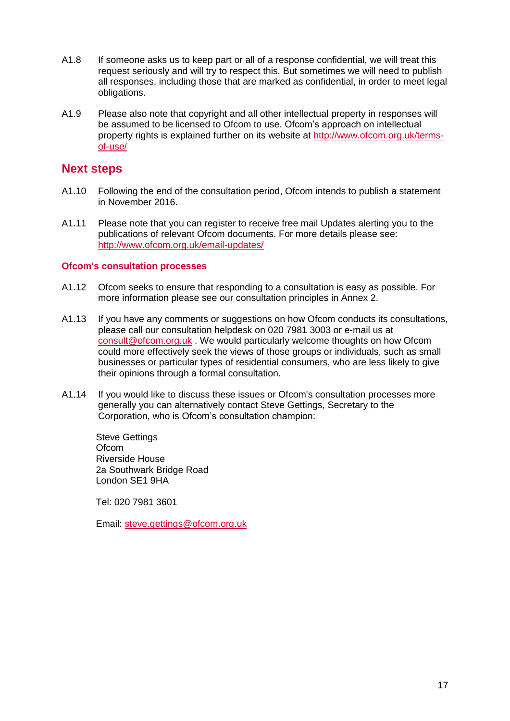- A1.8 If someone asks us to keep part or all of a response confidential, we will treat this request seriously and will try to respect this. But sometimes we will need to publish all responses, including those that are marked as confidential, in order to meet legal obligations.
- A1.9 Please also note that copyright and all other intellectual property in responses will be assumed to be licensed to Ofcom to use. Ofcom's approach on intellectual property rights is explained further on its website at [http://www.ofcom.org.uk/terms](http://www.ofcom.org.uk/terms-of-use/)[of-use/](http://www.ofcom.org.uk/terms-of-use/)

### **Next steps**

- A1.10 Following the end of the consultation period, Ofcom intends to publish a statement in November 2016.
- A1.11 Please note that you can register to receive free mail Updates alerting you to the publications of relevant Ofcom documents. For more details please see: <http://www.ofcom.org.uk/email-updates/>

#### **Ofcom's consultation processes**

- A1.12 Ofcom seeks to ensure that responding to a consultation is easy as possible. For more information please see our consultation principles in Annex 2.
- A1.13 If you have any comments or suggestions on how Ofcom conducts its consultations, please call our consultation helpdesk on 020 7981 3003 or e-mail us at [consult@ofcom.org.uk](mailto:consult@ofcom.org.uk) . We would particularly welcome thoughts on how Ofcom could more effectively seek the views of those groups or individuals, such as small businesses or particular types of residential consumers, who are less likely to give their opinions through a formal consultation.
- A1.14 If you would like to discuss these issues or Ofcom's consultation processes more generally you can alternatively contact Steve Gettings, Secretary to the Corporation, who is Ofcom's consultation champion:

Steve Gettings **Ofcom** Riverside House 2a Southwark Bridge Road London SE1 9HA

Tel: 020 7981 3601

Email: [steve.gettings@ofcom.org.uk](mailto:steve.gettings@ofcom.org.uk)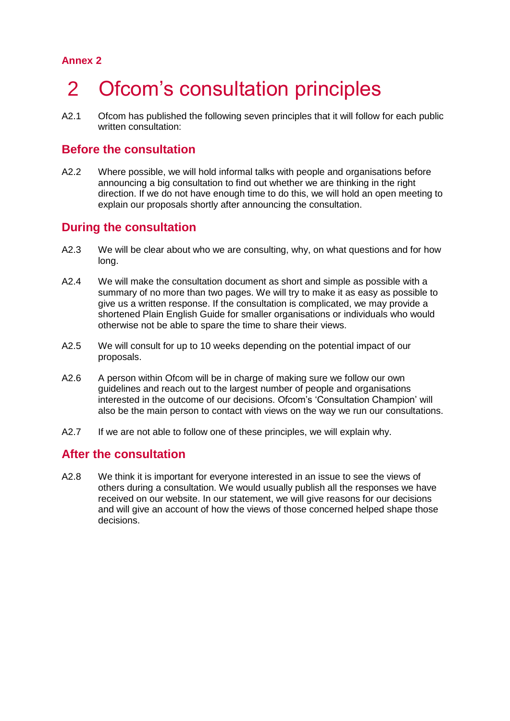# <span id="page-18-0"></span>2 Ofcom's consultation principles

A2.1 Ofcom has published the following seven principles that it will follow for each public written consultation:

### **Before the consultation**

A2.2 Where possible, we will hold informal talks with people and organisations before announcing a big consultation to find out whether we are thinking in the right direction. If we do not have enough time to do this, we will hold an open meeting to explain our proposals shortly after announcing the consultation.

### **During the consultation**

- A2.3 We will be clear about who we are consulting, why, on what questions and for how long.
- A2.4 We will make the consultation document as short and simple as possible with a summary of no more than two pages. We will try to make it as easy as possible to give us a written response. If the consultation is complicated, we may provide a shortened Plain English Guide for smaller organisations or individuals who would otherwise not be able to spare the time to share their views.
- A2.5 We will consult for up to 10 weeks depending on the potential impact of our proposals.
- A2.6 A person within Ofcom will be in charge of making sure we follow our own guidelines and reach out to the largest number of people and organisations interested in the outcome of our decisions. Ofcom's 'Consultation Champion' will also be the main person to contact with views on the way we run our consultations.
- A2.7 If we are not able to follow one of these principles, we will explain why.

### **After the consultation**

A2.8 We think it is important for everyone interested in an issue to see the views of others during a consultation. We would usually publish all the responses we have received on our website. In our statement, we will give reasons for our decisions and will give an account of how the views of those concerned helped shape those decisions.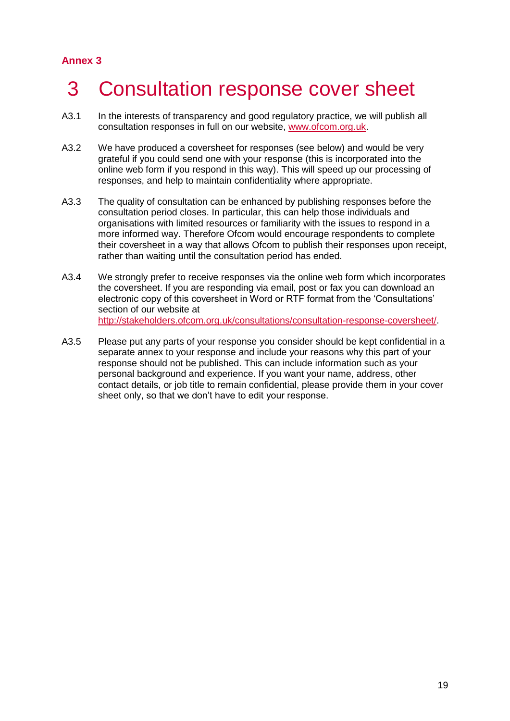# <span id="page-19-0"></span>3 Consultation response cover sheet

- A3.1 In the interests of transparency and good regulatory practice, we will publish all consultation responses in full on our website, [www.ofcom.org.uk.](http://www.ofcom.org.uk/)
- A3.2 We have produced a coversheet for responses (see below) and would be very grateful if you could send one with your response (this is incorporated into the online web form if you respond in this way). This will speed up our processing of responses, and help to maintain confidentiality where appropriate.
- A3.3 The quality of consultation can be enhanced by publishing responses before the consultation period closes. In particular, this can help those individuals and organisations with limited resources or familiarity with the issues to respond in a more informed way. Therefore Ofcom would encourage respondents to complete their coversheet in a way that allows Ofcom to publish their responses upon receipt, rather than waiting until the consultation period has ended.
- A3.4 We strongly prefer to receive responses via the online web form which incorporates the coversheet. If you are responding via email, post or fax you can download an electronic copy of this coversheet in Word or RTF format from the 'Consultations' section of our website at [http://stakeholders.ofcom.org.uk/consultations/consultation-response-coversheet/.](http://stakeholders.ofcom.org.uk/consultations/consultation-response-coversheet/)
- A3.5 Please put any parts of your response you consider should be kept confidential in a separate annex to your response and include your reasons why this part of your response should not be published. This can include information such as your personal background and experience. If you want your name, address, other contact details, or job title to remain confidential, please provide them in your cover sheet only, so that we don't have to edit your response.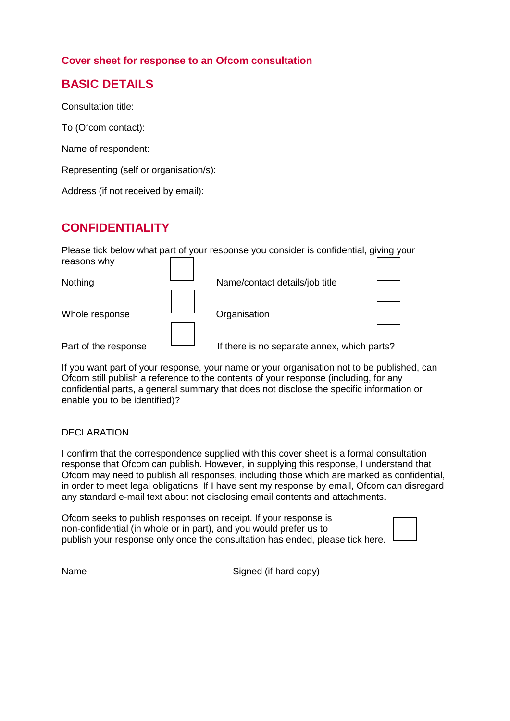## **Cover sheet for response to an Ofcom consultation**

| <b>BASIC DETAILS</b>                                                                                                                                                                                                                                                                                                                                                                                                                                                |  |  |  |
|---------------------------------------------------------------------------------------------------------------------------------------------------------------------------------------------------------------------------------------------------------------------------------------------------------------------------------------------------------------------------------------------------------------------------------------------------------------------|--|--|--|
| Consultation title:                                                                                                                                                                                                                                                                                                                                                                                                                                                 |  |  |  |
| To (Ofcom contact):                                                                                                                                                                                                                                                                                                                                                                                                                                                 |  |  |  |
| Name of respondent:                                                                                                                                                                                                                                                                                                                                                                                                                                                 |  |  |  |
| Representing (self or organisation/s):                                                                                                                                                                                                                                                                                                                                                                                                                              |  |  |  |
| Address (if not received by email):                                                                                                                                                                                                                                                                                                                                                                                                                                 |  |  |  |
| <b>CONFIDENTIALITY</b>                                                                                                                                                                                                                                                                                                                                                                                                                                              |  |  |  |
| Please tick below what part of your response you consider is confidential, giving your<br>reasons why                                                                                                                                                                                                                                                                                                                                                               |  |  |  |
| Nothing<br>Name/contact details/job title                                                                                                                                                                                                                                                                                                                                                                                                                           |  |  |  |
| Organisation<br>Whole response                                                                                                                                                                                                                                                                                                                                                                                                                                      |  |  |  |
| Part of the response<br>If there is no separate annex, which parts?                                                                                                                                                                                                                                                                                                                                                                                                 |  |  |  |
| If you want part of your response, your name or your organisation not to be published, can<br>Ofcom still publish a reference to the contents of your response (including, for any<br>confidential parts, a general summary that does not disclose the specific information or<br>enable you to be identified)?                                                                                                                                                     |  |  |  |
| <b>DECLARATION</b>                                                                                                                                                                                                                                                                                                                                                                                                                                                  |  |  |  |
| I confirm that the correspondence supplied with this cover sheet is a formal consultation<br>response that Ofcom can publish. However, in supplying this response, I understand that<br>Ofcom may need to publish all responses, including those which are marked as confidential,<br>in order to meet legal obligations. If I have sent my response by email, Ofcom can disregard<br>any standard e-mail text about not disclosing email contents and attachments. |  |  |  |
| Ofcom seeks to publish responses on receipt. If your response is<br>non-confidential (in whole or in part), and you would prefer us to<br>publish your response only once the consultation has ended, please tick here.                                                                                                                                                                                                                                             |  |  |  |
| Signed (if hard copy)<br>Name                                                                                                                                                                                                                                                                                                                                                                                                                                       |  |  |  |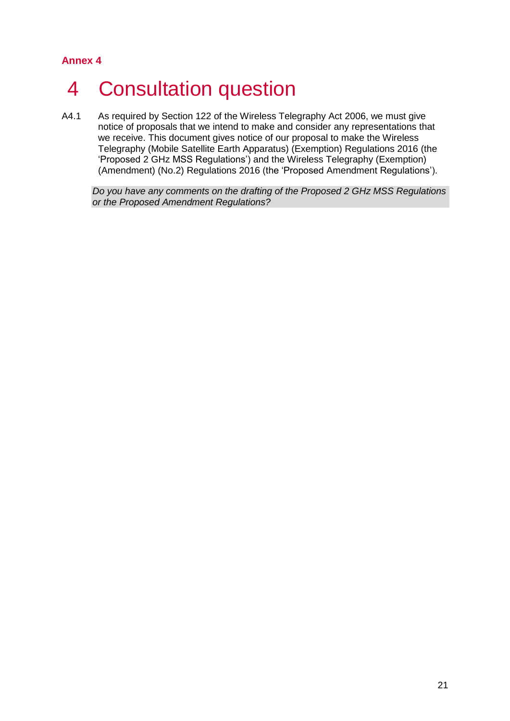# <span id="page-21-0"></span>4 Consultation question

A4.1 As required by Section 122 of the Wireless Telegraphy Act 2006, we must give notice of proposals that we intend to make and consider any representations that we receive. This document gives notice of our proposal to make the Wireless Telegraphy (Mobile Satellite Earth Apparatus) (Exemption) Regulations 2016 (the 'Proposed 2 GHz MSS Regulations') and the Wireless Telegraphy (Exemption) (Amendment) (No.2) Regulations 2016 (the 'Proposed Amendment Regulations').

*Do you have any comments on the drafting of the Proposed 2 GHz MSS Regulations or the Proposed Amendment Regulations?*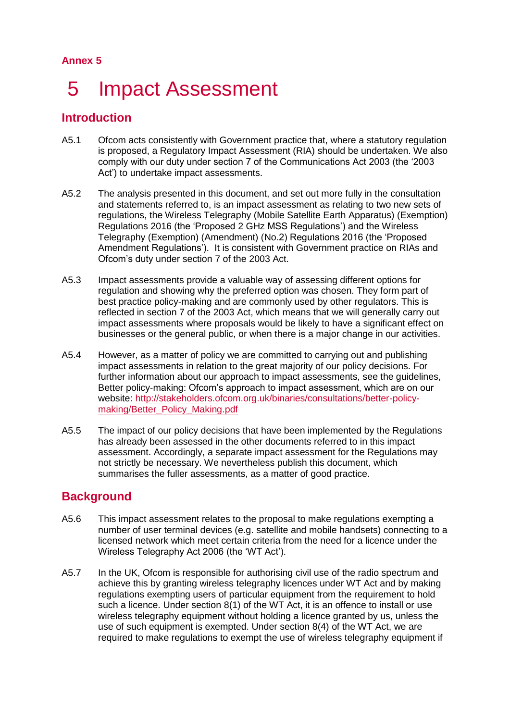# <span id="page-22-0"></span>5 Impact Assessment

## **Introduction**

- A5.1 Ofcom acts consistently with Government practice that, where a statutory regulation is proposed, a Regulatory Impact Assessment (RIA) should be undertaken. We also comply with our duty under section 7 of the Communications Act 2003 (the '2003 Act') to undertake impact assessments.
- A5.2 The analysis presented in this document, and set out more fully in the consultation and statements referred to, is an impact assessment as relating to two new sets of regulations, the Wireless Telegraphy (Mobile Satellite Earth Apparatus) (Exemption) Regulations 2016 (the 'Proposed 2 GHz MSS Regulations') and the Wireless Telegraphy (Exemption) (Amendment) (No.2) Regulations 2016 (the 'Proposed Amendment Regulations'). It is consistent with Government practice on RIAs and Ofcom's duty under section 7 of the 2003 Act.
- A5.3 Impact assessments provide a valuable way of assessing different options for regulation and showing why the preferred option was chosen. They form part of best practice policy-making and are commonly used by other regulators. This is reflected in section 7 of the 2003 Act, which means that we will generally carry out impact assessments where proposals would be likely to have a significant effect on businesses or the general public, or when there is a major change in our activities.
- A5.4 However, as a matter of policy we are committed to carrying out and publishing impact assessments in relation to the great majority of our policy decisions. For further information about our approach to impact assessments, see the guidelines, Better policy-making: Ofcom's approach to impact assessment, which are on our website: [http://stakeholders.ofcom.org.uk/binaries/consultations/better-policy](http://stakeholders.ofcom.org.uk/binaries/consultations/better-policy-making/Better_Policy_Making.pdf)[making/Better\\_Policy\\_Making.pdf](http://stakeholders.ofcom.org.uk/binaries/consultations/better-policy-making/Better_Policy_Making.pdf)
- A5.5 The impact of our policy decisions that have been implemented by the Regulations has already been assessed in the other documents referred to in this impact assessment. Accordingly, a separate impact assessment for the Regulations may not strictly be necessary. We nevertheless publish this document, which summarises the fuller assessments, as a matter of good practice.

## **Background**

- A5.6 This impact assessment relates to the proposal to make regulations exempting a number of user terminal devices (e.g. satellite and mobile handsets) connecting to a licensed network which meet certain criteria from the need for a licence under the Wireless Telegraphy Act 2006 (the 'WT Act').
- A5.7 In the UK, Ofcom is responsible for authorising civil use of the radio spectrum and achieve this by granting wireless telegraphy licences under WT Act and by making regulations exempting users of particular equipment from the requirement to hold such a licence. Under section 8(1) of the WT Act, it is an offence to install or use wireless telegraphy equipment without holding a licence granted by us, unless the use of such equipment is exempted. Under section 8(4) of the WT Act, we are required to make regulations to exempt the use of wireless telegraphy equipment if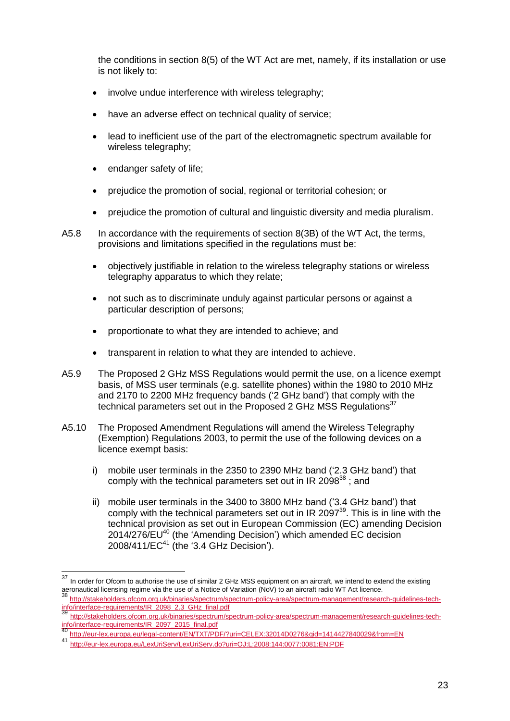the conditions in section 8(5) of the WT Act are met, namely, if its installation or use is not likely to:

- involve undue interference with wireless telegraphy;
- have an adverse effect on technical quality of service:
- lead to inefficient use of the part of the electromagnetic spectrum available for wireless telegraphy;
- endanger safety of life;
- prejudice the promotion of social, regional or territorial cohesion; or
- prejudice the promotion of cultural and linguistic diversity and media pluralism.

A5.8 In accordance with the requirements of section 8(3B) of the WT Act, the terms, provisions and limitations specified in the regulations must be:

- objectively justifiable in relation to the wireless telegraphy stations or wireless telegraphy apparatus to which they relate;
- not such as to discriminate unduly against particular persons or against a particular description of persons;
- proportionate to what they are intended to achieve; and
- transparent in relation to what they are intended to achieve.
- A5.9 The Proposed 2 GHz MSS Regulations would permit the use, on a licence exempt basis, of MSS user terminals (e.g. satellite phones) within the 1980 to 2010 MHz and 2170 to 2200 MHz frequency bands ('2 GHz band') that comply with the technical parameters set out in the Proposed 2 GHz MSS Regulations<sup>37</sup>
- A5.10 The Proposed Amendment Regulations will amend the Wireless Telegraphy (Exemption) Regulations 2003, to permit the use of the following devices on a licence exempt basis:
	- i) mobile user terminals in the 2350 to 2390 MHz band ('2.3 GHz band') that comply with the technical parameters set out in IR 2098 $^{38}$ ; and
	- ii) mobile user terminals in the 3400 to 3800 MHz band ('3.4 GHz band') that comply with the technical parameters set out in IR 2097 $39$ . This is in line with the technical provision as set out in European Commission (EC) amending Decision 2014/276/EU<sup>40</sup> (the 'Amending Decision') which amended EC decision 2008/411/EC<sup>41</sup> (the '3.4 GHz Decision').

 $37$ In order for Ofcom to authorise the use of similar 2 GHz MSS equipment on an aircraft, we intend to extend the existing aeronautical licensing regime via the use of a Notice of Variation (NoV) to an aircraft radio WT Act licence.

<sup>38</sup> [http://stakeholders.ofcom.org.uk/binaries/spectrum/spectrum-policy-area/spectrum-management/research-guidelines-tech](http://stakeholders.ofcom.org.uk/binaries/spectrum/spectrum-policy-area/spectrum-management/research-guidelines-tech-info/interface-requirements/IR_2098_2.3_GHz_final.pdf)[info/interface-requirements/IR\\_2098\\_2.3\\_GHz\\_final.pdf](http://stakeholders.ofcom.org.uk/binaries/spectrum/spectrum-policy-area/spectrum-management/research-guidelines-tech-info/interface-requirements/IR_2098_2.3_GHz_final.pdf)

<sup>39</sup> [http://stakeholders.ofcom.org.uk/binaries/spectrum/spectrum-policy-area/spectrum-management/research-guidelines-tech](http://stakeholders.ofcom.org.uk/binaries/spectrum/spectrum-policy-area/spectrum-management/research-guidelines-tech-info/interface-requirements/IR_2097_2015_final.pdf)[info/interface-requirements/IR\\_2097\\_2015\\_final.pdf](http://stakeholders.ofcom.org.uk/binaries/spectrum/spectrum-policy-area/spectrum-management/research-guidelines-tech-info/interface-requirements/IR_2097_2015_final.pdf)

<http://eur-lex.europa.eu/legal-content/EN/TXT/PDF/?uri=CELEX:32014D0276&qid=1414427840029&from=EN>

<sup>41</sup> <http://eur-lex.europa.eu/LexUriServ/LexUriServ.do?uri=OJ:L:2008:144:0077:0081:EN:PDF>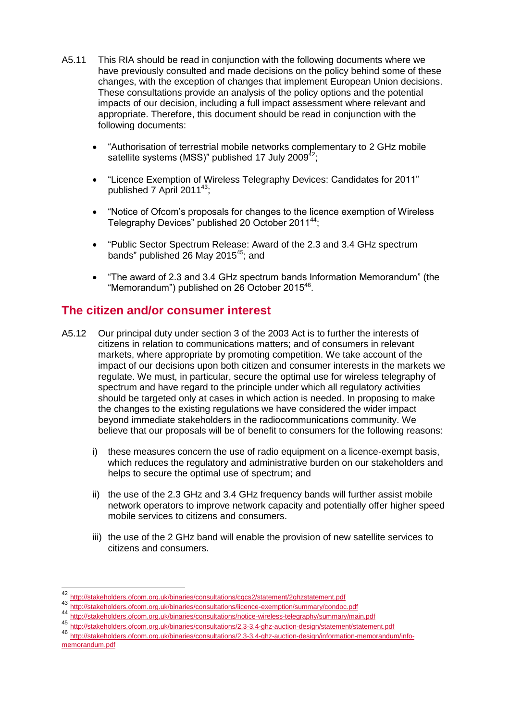- A5.11 This RIA should be read in conjunction with the following documents where we have previously consulted and made decisions on the policy behind some of these changes, with the exception of changes that implement European Union decisions. These consultations provide an analysis of the policy options and the potential impacts of our decision, including a full impact assessment where relevant and appropriate. Therefore, this document should be read in conjunction with the following documents:
	- "Authorisation of terrestrial mobile networks complementary to 2 GHz mobile satellite systems (MSS)" published 17 July 2009 $42$ ;
	- "Licence Exemption of Wireless Telegraphy Devices: Candidates for 2011" published 7 April 2011<sup>43</sup>;
	- "Notice of Ofcom's proposals for changes to the licence exemption of Wireless Telegraphy Devices" published 20 October 2011<sup>44</sup>;
	- "Public Sector Spectrum Release: Award of the 2.3 and 3.4 GHz spectrum bands" published 26 May 2015 $45$ ; and
	- "The award of 2.3 and 3.4 GHz spectrum bands Information Memorandum" (the "Memorandum") published on 26 October 2015<sup>46</sup>.

### **The citizen and/or consumer interest**

- A5.12 Our principal duty under section 3 of the 2003 Act is to further the interests of citizens in relation to communications matters; and of consumers in relevant markets, where appropriate by promoting competition. We take account of the impact of our decisions upon both citizen and consumer interests in the markets we regulate. We must, in particular, secure the optimal use for wireless telegraphy of spectrum and have regard to the principle under which all regulatory activities should be targeted only at cases in which action is needed. In proposing to make the changes to the existing regulations we have considered the wider impact beyond immediate stakeholders in the radiocommunications community. We believe that our proposals will be of benefit to consumers for the following reasons:
	- i) these measures concern the use of radio equipment on a licence-exempt basis, which reduces the regulatory and administrative burden on our stakeholders and helps to secure the optimal use of spectrum; and
	- ii) the use of the 2.3 GHz and 3.4 GHz frequency bands will further assist mobile network operators to improve network capacity and potentially offer higher speed mobile services to citizens and consumers.
	- iii) the use of the 2 GHz band will enable the provision of new satellite services to citizens and consumers.

-

<http://stakeholders.ofcom.org.uk/binaries/consultations/cgcs2/statement/2ghzstatement.pdf>

<sup>43</sup> <http://stakeholders.ofcom.org.uk/binaries/consultations/licence-exemption/summary/condoc.pdf><br>44

<sup>44</sup> <http://stakeholders.ofcom.org.uk/binaries/consultations/notice-wireless-telegraphy/summary/main.pdf><br>45 http://stakeholders.ofcom.org.uk/binaries/consultations/0.2.2.4 also austion desire/statement/atatemen

<sup>45</sup> <http://stakeholders.ofcom.org.uk/binaries/consultations/2.3-3.4-ghz-auction-design/statement/statement.pdf>

<sup>46</sup> [http://stakeholders.ofcom.org.uk/binaries/consultations/2.3-3.4-ghz-auction-design/information-memorandum/info](http://stakeholders.ofcom.org.uk/binaries/consultations/2.3-3.4-ghz-auction-design/information-memorandum/info-memorandum.pdf)[memorandum.pdf](http://stakeholders.ofcom.org.uk/binaries/consultations/2.3-3.4-ghz-auction-design/information-memorandum/info-memorandum.pdf)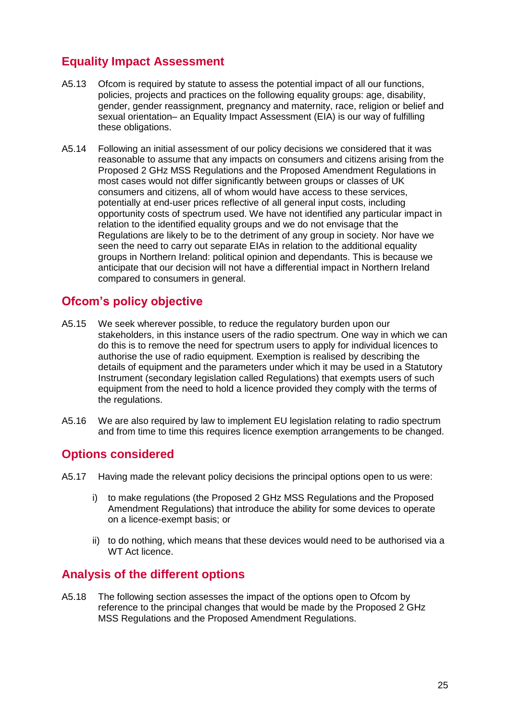# **Equality Impact Assessment**

- A5.13 Ofcom is required by statute to assess the potential impact of all our functions, policies, projects and practices on the following equality groups: age, disability, gender, gender reassignment, pregnancy and maternity, race, religion or belief and sexual orientation– an Equality Impact Assessment (EIA) is our way of fulfilling these obligations.
- A5.14 Following an initial assessment of our policy decisions we considered that it was reasonable to assume that any impacts on consumers and citizens arising from the Proposed 2 GHz MSS Regulations and the Proposed Amendment Regulations in most cases would not differ significantly between groups or classes of UK consumers and citizens, all of whom would have access to these services, potentially at end-user prices reflective of all general input costs, including opportunity costs of spectrum used. We have not identified any particular impact in relation to the identified equality groups and we do not envisage that the Regulations are likely to be to the detriment of any group in society. Nor have we seen the need to carry out separate EIAs in relation to the additional equality groups in Northern Ireland: political opinion and dependants. This is because we anticipate that our decision will not have a differential impact in Northern Ireland compared to consumers in general.

## **Ofcom's policy objective**

- A5.15 We seek wherever possible, to reduce the regulatory burden upon our stakeholders, in this instance users of the radio spectrum. One way in which we can do this is to remove the need for spectrum users to apply for individual licences to authorise the use of radio equipment. Exemption is realised by describing the details of equipment and the parameters under which it may be used in a Statutory Instrument (secondary legislation called Regulations) that exempts users of such equipment from the need to hold a licence provided they comply with the terms of the regulations.
- A5.16 We are also required by law to implement EU legislation relating to radio spectrum and from time to time this requires licence exemption arrangements to be changed.

#### **Options considered**

- A5.17 Having made the relevant policy decisions the principal options open to us were:
	- i) to make regulations (the Proposed 2 GHz MSS Regulations and the Proposed Amendment Regulations) that introduce the ability for some devices to operate on a licence-exempt basis; or
	- ii) to do nothing, which means that these devices would need to be authorised via a WT Act licence.

## **Analysis of the different options**

A5.18 The following section assesses the impact of the options open to Ofcom by reference to the principal changes that would be made by the Proposed 2 GHz MSS Regulations and the Proposed Amendment Regulations.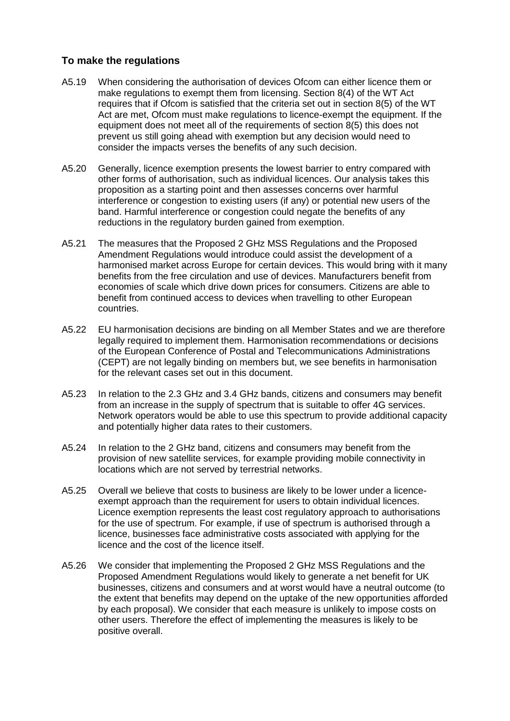#### **To make the regulations**

- A5.19 When considering the authorisation of devices Ofcom can either licence them or make regulations to exempt them from licensing. Section 8(4) of the WT Act requires that if Ofcom is satisfied that the criteria set out in section 8(5) of the WT Act are met, Ofcom must make regulations to licence-exempt the equipment. If the equipment does not meet all of the requirements of section 8(5) this does not prevent us still going ahead with exemption but any decision would need to consider the impacts verses the benefits of any such decision.
- A5.20 Generally, licence exemption presents the lowest barrier to entry compared with other forms of authorisation, such as individual licences. Our analysis takes this proposition as a starting point and then assesses concerns over harmful interference or congestion to existing users (if any) or potential new users of the band. Harmful interference or congestion could negate the benefits of any reductions in the regulatory burden gained from exemption.
- A5.21 The measures that the Proposed 2 GHz MSS Regulations and the Proposed Amendment Regulations would introduce could assist the development of a harmonised market across Europe for certain devices. This would bring with it many benefits from the free circulation and use of devices. Manufacturers benefit from economies of scale which drive down prices for consumers. Citizens are able to benefit from continued access to devices when travelling to other European countries.
- A5.22 EU harmonisation decisions are binding on all Member States and we are therefore legally required to implement them. Harmonisation recommendations or decisions of the European Conference of Postal and Telecommunications Administrations (CEPT) are not legally binding on members but, we see benefits in harmonisation for the relevant cases set out in this document.
- A5.23 In relation to the 2.3 GHz and 3.4 GHz bands, citizens and consumers may benefit from an increase in the supply of spectrum that is suitable to offer 4G services. Network operators would be able to use this spectrum to provide additional capacity and potentially higher data rates to their customers.
- A5.24 In relation to the 2 GHz band, citizens and consumers may benefit from the provision of new satellite services, for example providing mobile connectivity in locations which are not served by terrestrial networks.
- A5.25 Overall we believe that costs to business are likely to be lower under a licenceexempt approach than the requirement for users to obtain individual licences. Licence exemption represents the least cost regulatory approach to authorisations for the use of spectrum. For example, if use of spectrum is authorised through a licence, businesses face administrative costs associated with applying for the licence and the cost of the licence itself.
- A5.26 We consider that implementing the Proposed 2 GHz MSS Regulations and the Proposed Amendment Regulations would likely to generate a net benefit for UK businesses, citizens and consumers and at worst would have a neutral outcome (to the extent that benefits may depend on the uptake of the new opportunities afforded by each proposal). We consider that each measure is unlikely to impose costs on other users. Therefore the effect of implementing the measures is likely to be positive overall.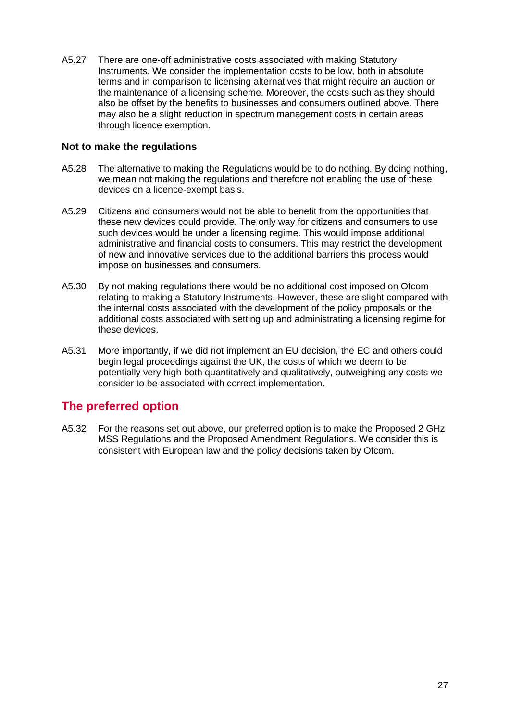A5.27 There are one-off administrative costs associated with making Statutory Instruments. We consider the implementation costs to be low, both in absolute terms and in comparison to licensing alternatives that might require an auction or the maintenance of a licensing scheme. Moreover, the costs such as they should also be offset by the benefits to businesses and consumers outlined above. There may also be a slight reduction in spectrum management costs in certain areas through licence exemption.

#### **Not to make the regulations**

- A5.28 The alternative to making the Regulations would be to do nothing. By doing nothing, we mean not making the regulations and therefore not enabling the use of these devices on a licence-exempt basis.
- A5.29 Citizens and consumers would not be able to benefit from the opportunities that these new devices could provide. The only way for citizens and consumers to use such devices would be under a licensing regime. This would impose additional administrative and financial costs to consumers. This may restrict the development of new and innovative services due to the additional barriers this process would impose on businesses and consumers.
- A5.30 By not making regulations there would be no additional cost imposed on Ofcom relating to making a Statutory Instruments. However, these are slight compared with the internal costs associated with the development of the policy proposals or the additional costs associated with setting up and administrating a licensing regime for these devices.
- A5.31 More importantly, if we did not implement an EU decision, the EC and others could begin legal proceedings against the UK, the costs of which we deem to be potentially very high both quantitatively and qualitatively, outweighing any costs we consider to be associated with correct implementation.

## **The preferred option**

A5.32 For the reasons set out above, our preferred option is to make the Proposed 2 GHz MSS Regulations and the Proposed Amendment Regulations. We consider this is consistent with European law and the policy decisions taken by Ofcom.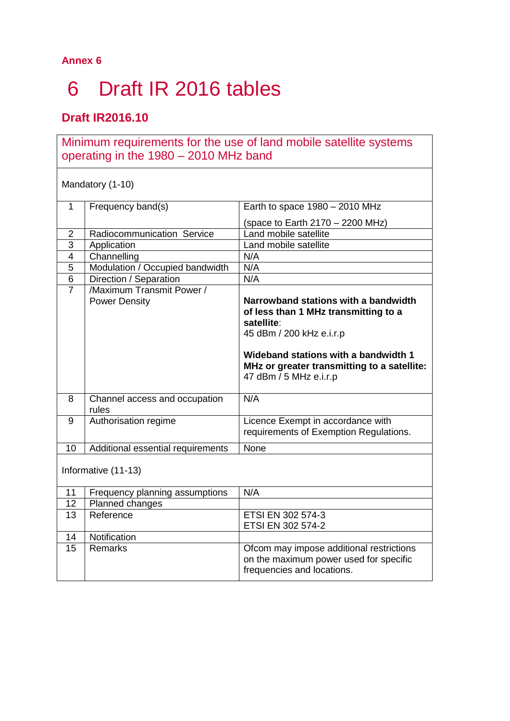# <span id="page-28-0"></span>6 Draft IR 2016 tables

# **Draft IR2016.10**

# Minimum requirements for the use of land mobile satellite systems operating in the 1980 – 2010 MHz band

Mandatory (1-10)

| 1              | Frequency band(s)                          | Earth to space $1980 - 2010$ MHz                                                                                                                                                                                                        |
|----------------|--------------------------------------------|-----------------------------------------------------------------------------------------------------------------------------------------------------------------------------------------------------------------------------------------|
|                |                                            | (space to Earth $2170 - 2200$ MHz)                                                                                                                                                                                                      |
| $\overline{2}$ | Radiocommunication Service                 | Land mobile satellite                                                                                                                                                                                                                   |
| 3              | Application                                | Land mobile satellite                                                                                                                                                                                                                   |
| 4              | Channelling                                | N/A                                                                                                                                                                                                                                     |
| 5              | Modulation / Occupied bandwidth            | N/A                                                                                                                                                                                                                                     |
| 6              | Direction / Separation                     | N/A                                                                                                                                                                                                                                     |
| $\overline{7}$ | /Maximum Transmit Power /<br>Power Density | Narrowband stations with a bandwidth<br>of less than 1 MHz transmitting to a<br>satellite:<br>45 dBm / 200 kHz e.i.r.p<br>Wideband stations with a bandwidth 1<br>MHz or greater transmitting to a satellite:<br>47 dBm / 5 MHz e.i.r.p |
| 8              | Channel access and occupation<br>rules     | N/A                                                                                                                                                                                                                                     |
| 9              | Authorisation regime                       | Licence Exempt in accordance with<br>requirements of Exemption Regulations.                                                                                                                                                             |
| 10             | Additional essential requirements          | None                                                                                                                                                                                                                                    |
|                | Informative (11-13)                        |                                                                                                                                                                                                                                         |
| 11             | Frequency planning assumptions             | N/A                                                                                                                                                                                                                                     |
| 12             | Planned changes                            |                                                                                                                                                                                                                                         |
| 13             | Reference                                  | ETSI EN 302 574-3                                                                                                                                                                                                                       |

| 1 J | I JOI GI UUG | LI UI LIN JUZ JI TU<br>ETSI EN 302 574-2                                                                         |
|-----|--------------|------------------------------------------------------------------------------------------------------------------|
| 14  | Notification |                                                                                                                  |
| 15  | Remarks      | Ofcom may impose additional restrictions<br>on the maximum power used for specific<br>frequencies and locations. |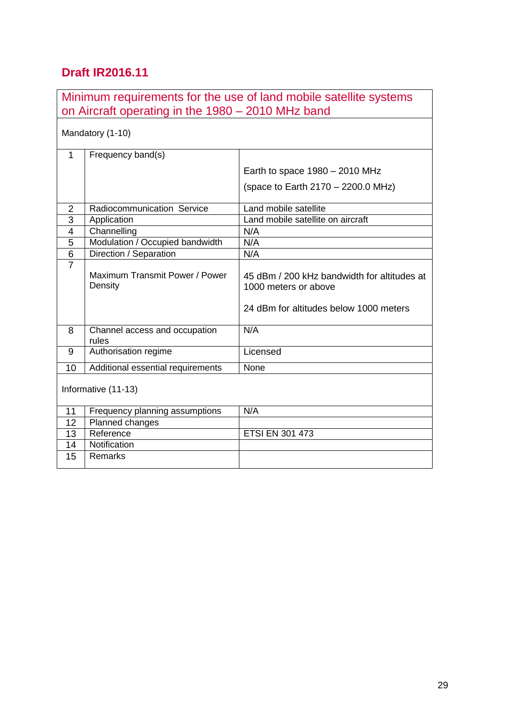# **Draft IR2016.11**

| Minimum requirements for the use of land mobile satellite systems<br>on Aircraft operating in the 1980 – 2010 MHz band |                                           |                                                                     |  |  |  |  |
|------------------------------------------------------------------------------------------------------------------------|-------------------------------------------|---------------------------------------------------------------------|--|--|--|--|
| Mandatory (1-10)                                                                                                       |                                           |                                                                     |  |  |  |  |
| 1                                                                                                                      | Frequency band(s)                         |                                                                     |  |  |  |  |
|                                                                                                                        |                                           | Earth to space $1980 - 2010$ MHz                                    |  |  |  |  |
|                                                                                                                        |                                           | (space to Earth 2170 - 2200.0 MHz)                                  |  |  |  |  |
|                                                                                                                        |                                           |                                                                     |  |  |  |  |
| $\overline{2}$                                                                                                         | Radiocommunication Service                | Land mobile satellite                                               |  |  |  |  |
| 3                                                                                                                      | Application                               | Land mobile satellite on aircraft                                   |  |  |  |  |
| $\overline{4}$                                                                                                         | Channelling                               | N/A                                                                 |  |  |  |  |
| 5                                                                                                                      | Modulation / Occupied bandwidth           | N/A                                                                 |  |  |  |  |
| 6                                                                                                                      | Direction / Separation                    | N/A                                                                 |  |  |  |  |
| $\overline{7}$                                                                                                         | Maximum Transmit Power / Power<br>Density | 45 dBm / 200 kHz bandwidth for altitudes at<br>1000 meters or above |  |  |  |  |
|                                                                                                                        |                                           | 24 dBm for altitudes below 1000 meters                              |  |  |  |  |
| 8                                                                                                                      | Channel access and occupation<br>rules    | N/A                                                                 |  |  |  |  |
| 9                                                                                                                      | Authorisation regime                      | Licensed                                                            |  |  |  |  |
| 10                                                                                                                     | Additional essential requirements         | None                                                                |  |  |  |  |
| Informative (11-13)                                                                                                    |                                           |                                                                     |  |  |  |  |
| 11                                                                                                                     | Frequency planning assumptions            | N/A                                                                 |  |  |  |  |
| 12                                                                                                                     | Planned changes                           |                                                                     |  |  |  |  |
| 13                                                                                                                     | Reference                                 | <b>ETSI EN 301 473</b>                                              |  |  |  |  |
| 14                                                                                                                     | Notification                              |                                                                     |  |  |  |  |
| 15                                                                                                                     | Remarks                                   |                                                                     |  |  |  |  |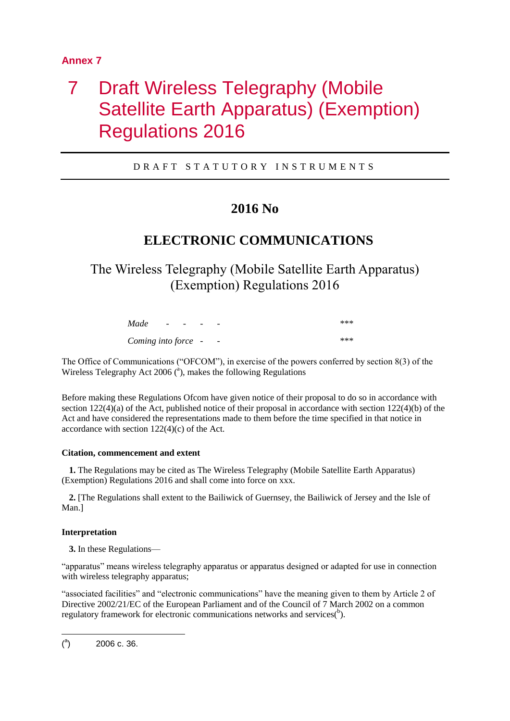# <span id="page-30-0"></span>7 Draft Wireless Telegraphy (Mobile Satellite Earth Apparatus) (Exemption) Regulations 2016

D R A F T S T A T U T O R Y I N S T R U M E N T S

# **2016 No**

# **ELECTRONIC COMMUNICATIONS**

The Wireless Telegraphy (Mobile Satellite Earth Apparatus) (Exemption) Regulations 2016

| Made                | $\overline{\phantom{0}}$ | $\sim$ | $\overline{\phantom{0}}$ | -                        | *** |
|---------------------|--------------------------|--------|--------------------------|--------------------------|-----|
| Coming into force - |                          |        |                          | $\overline{\phantom{0}}$ | *** |

The Office of Communications ("OFCOM"), in exercise of the powers conferred by section 8(3) of the Wireless Telegraphy Act 2006  $(^a)$ , makes the following Regulations

Before making these Regulations Ofcom have given notice of their proposal to do so in accordance with section  $122(4)(a)$  of the Act, published notice of their proposal in accordance with section  $122(4)(b)$  of the Act and have considered the representations made to them before the time specified in that notice in accordance with section  $122(4)(c)$  of the Act.

#### **Citation, commencement and extent**

**1.** The Regulations may be cited as The Wireless Telegraphy (Mobile Satellite Earth Apparatus) (Exemption) Regulations 2016 and shall come into force on xxx.

**2.** [The Regulations shall extent to the Bailiwick of Guernsey, the Bailiwick of Jersey and the Isle of Man.]

#### **Interpretation**

**3.** In these Regulations—

"apparatus" means wireless telegraphy apparatus or apparatus designed or adapted for use in connection with wireless telegraphy apparatus;

"associated facilities" and "electronic communications" have the meaning given to them by Article 2 of Directive 2002/21/EC of the European Parliament and of the Council of 7 March 2002 on a common regulatory framework for electronic communications networks and services( $b$ ).

-

 $\binom{a}{b}$ ) 2006 c. 36.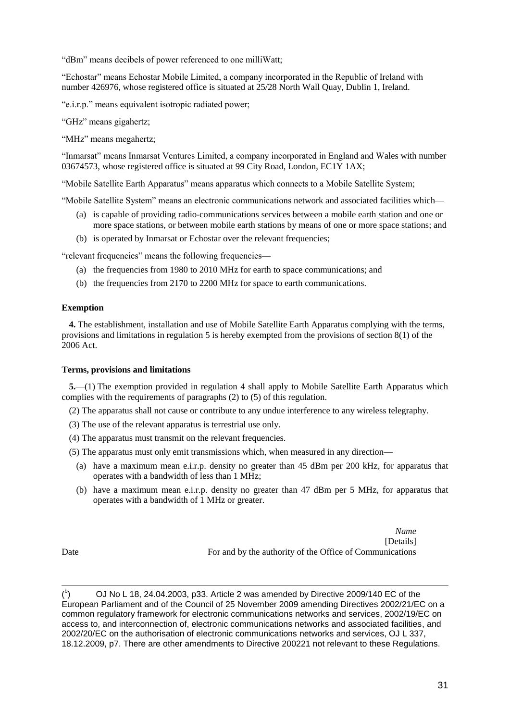"dBm" means decibels of power referenced to one milliWatt;

"Echostar" means Echostar Mobile Limited, a company incorporated in the Republic of Ireland with number 426976, whose registered office is situated at 25/28 North Wall Quay, Dublin 1, Ireland.

"e.i.r.p." means equivalent isotropic radiated power;

"GHz" means gigahertz;

"MHz" means megahertz;

"Inmarsat" means Inmarsat Ventures Limited, a company incorporated in England and Wales with number 03674573, whose registered office is situated at 99 City Road, London, EC1Y 1AX;

"Mobile Satellite Earth Apparatus" means apparatus which connects to a Mobile Satellite System;

"Mobile Satellite System" means an electronic communications network and associated facilities which—

- (a) is capable of providing radio-communications services between a mobile earth station and one or more space stations, or between mobile earth stations by means of one or more space stations; and
- (b) is operated by Inmarsat or Echostar over the relevant frequencies;

"relevant frequencies" means the following frequencies—

- (a) the frequencies from 1980 to 2010 MHz for earth to space communications; and
- (b) the frequencies from 2170 to 2200 MHz for space to earth communications.

#### **Exemption**

**4.** The establishment, installation and use of Mobile Satellite Earth Apparatus complying with the terms, provisions and limitations in regulation 5 is hereby exempted from the provisions of section 8(1) of the 2006 Act.

#### **Terms, provisions and limitations**

**5.**—(1) The exemption provided in regulation 4 shall apply to Mobile Satellite Earth Apparatus which complies with the requirements of paragraphs (2) to (5) of this regulation.

(2) The apparatus shall not cause or contribute to any undue interference to any wireless telegraphy.

- (3) The use of the relevant apparatus is terrestrial use only.
- (4) The apparatus must transmit on the relevant frequencies.

(5) The apparatus must only emit transmissions which, when measured in any direction—

- (a) have a maximum mean e.i.r.p. density no greater than 45 dBm per 200 kHz, for apparatus that operates with a bandwidth of less than 1 MHz;
- (b) have a maximum mean e.i.r.p. density no greater than 47 dBm per 5 MHz, for apparatus that operates with a bandwidth of 1 MHz or greater.

*Name* [Details] Date For and by the authority of the Office of Communications

-

 $\binom{b}{b}$ ) OJ No L 18, 24.04.2003, p33. Article 2 was amended by Directive 2009/140 EC of the European Parliament and of the Council of 25 November 2009 amending Directives 2002/21/EC on a common regulatory framework for electronic communications networks and services, 2002/19/EC on access to, and interconnection of, electronic communications networks and associated facilities, and 2002/20/EC on the authorisation of electronic communications networks and services, OJ L 337, 18.12.2009, p7. There are other amendments to Directive 200221 not relevant to these Regulations.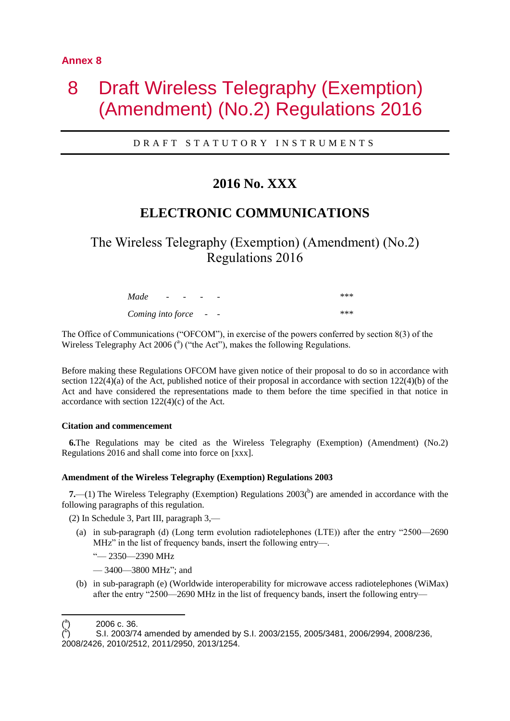# <span id="page-32-0"></span>8 Draft Wireless Telegraphy (Exemption) (Amendment) (No.2) Regulations 2016

#### D R A F T S T A T U T O R Y I N S T R U M E N T S

## **2016 No. XXX**

## **ELECTRONIC COMMUNICATIONS**

The Wireless Telegraphy (Exemption) (Amendment) (No.2) Regulations 2016

| Made                | $\overline{\phantom{a}}$ | $\sim$ $\sim$ | $\overline{\phantom{0}}$ | $\overline{\phantom{0}}$ | *** |
|---------------------|--------------------------|---------------|--------------------------|--------------------------|-----|
| Coming into force - |                          |               |                          | $\sim$                   | *** |

The Office of Communications ("OFCOM"), in exercise of the powers conferred by section 8(3) of the Wireless Telegraphy Act 2006 ( $a$ ) ("the Act"), makes the following Regulations.

Before making these Regulations OFCOM have given notice of their proposal to do so in accordance with section  $122(4)(a)$  of the Act, published notice of their proposal in accordance with section  $122(4)(b)$  of the Act and have considered the representations made to them before the time specified in that notice in accordance with section 122(4)(c) of the Act.

#### **Citation and commencement**

**6.**The Regulations may be cited as the Wireless Telegraphy (Exemption) (Amendment) (No.2) Regulations 2016 and shall come into force on [xxx].

#### **Amendment of the Wireless Telegraphy (Exemption) Regulations 2003**

**7.**—(1) The Wireless Telegraphy (Exemption) Regulations  $2003(^{b})$  are amended in accordance with the following paragraphs of this regulation.

(2) In Schedule 3, Part III, paragraph 3,—

- (a) in sub-paragraph (d) (Long term evolution radiotelephones (LTE)) after the entry "2500—2690 MHz" in the list of frequency bands, insert the following entry—.
	- "— 2350—2390 MHz
	- 3400—3800 MHz"; and
- (b) in sub-paragraph (e) (Worldwide interoperability for microwave access radiotelephones (WiMax) after the entry "2500—2690 MHz in the list of frequency bands, insert the following entry—

) 2006 c. 36.

- $\binom{a}{b}$ 

 $\mathcal{L}^{\mathsf{b}}$ ) S.I. 2003/74 amended by amended by S.I. 2003/2155, 2005/3481, 2006/2994, 2008/236, 2008/2426, 2010/2512, 2011/2950, 2013/1254.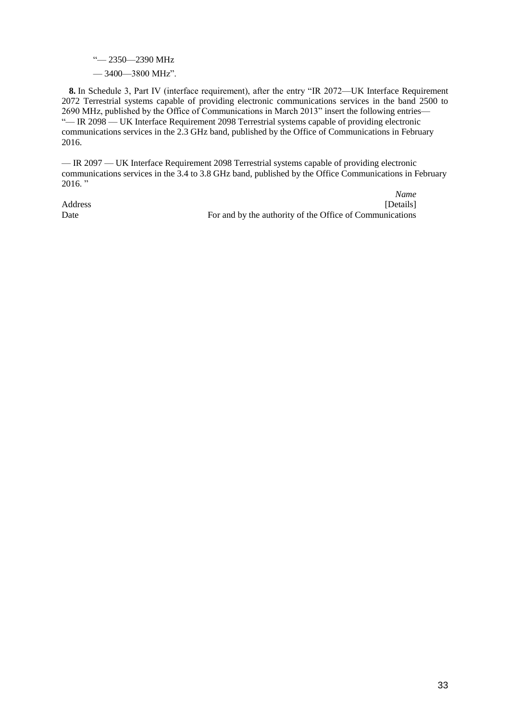- "— 2350—2390 MHz
- 3400—3800 MHz".

**8.** In Schedule 3, Part IV (interface requirement), after the entry "IR 2072—UK Interface Requirement 2072 Terrestrial systems capable of providing electronic communications services in the band 2500 to 2690 MHz, published by the Office of Communications in March 2013" insert the following entries— "— IR 2098 — UK Interface Requirement 2098 Terrestrial systems capable of providing electronic communications services in the 2.3 GHz band, published by the Office of Communications in February 2016.

— IR 2097 — UK Interface Requirement 2098 Terrestrial systems capable of providing electronic communications services in the 3.4 to 3.8 GHz band, published by the Office Communications in February  $2016.$  "

*Name* Address [Details] Date For and by the authority of the Office of Communications